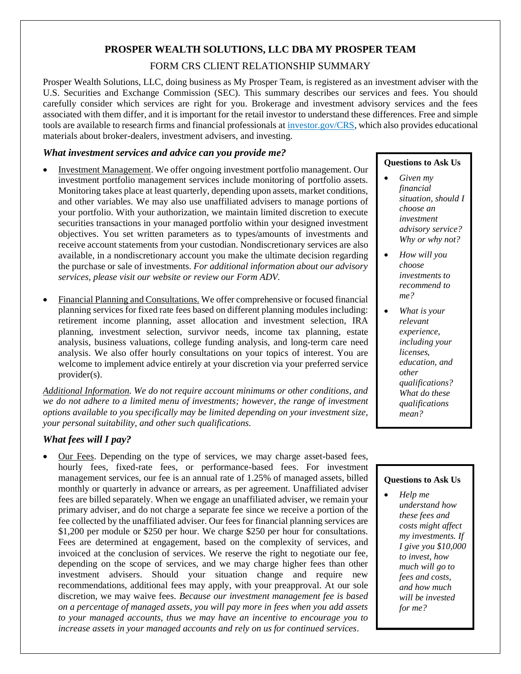# **PROSPER WEALTH SOLUTIONS, LLC DBA MY PROSPER TEAM**

### FORM CRS CLIENT RELATIONSHIP SUMMARY

Prosper Wealth Solutions, LLC, doing business as My Prosper Team, is registered as an investment adviser with the U.S. Securities and Exchange Commission (SEC). This summary describes our services and fees. You should carefully consider which services are right for you. Brokerage and investment advisory services and the fees associated with them differ, and it is important for the retail investor to understand these differences. Free and simple tools are available to research firms and financial professionals a[t investor.gov/CRS,](https://www.investor.gov/CRS) which also provides educational materials about broker-dealers, investment advisers, and investing.

### *What investment services and advice can you provide me?*

- Investment Management. We offer ongoing investment portfolio management. Our investment portfolio management services include monitoring of portfolio assets. Monitoring takes place at least quarterly, depending upon assets, market conditions, and other variables. We may also use unaffiliated advisers to manage portions of your portfolio. With your authorization, we maintain limited discretion to execute securities transactions in your managed portfolio within your designed investment objectives. You set written parameters as to types/amounts of investments and receive account statements from your custodian. Nondiscretionary services are also available, in a nondiscretionary account you make the ultimate decision regarding the purchase or sale of investments. *For additional information about our advisory services, please visit our website or review our Form ADV.*
- Financial Planning and Consultations. We offer comprehensive or focused financial planning services for fixed rate fees based on different planning modules including: retirement income planning, asset allocation and investment selection, IRA planning, investment selection, survivor needs, income tax planning, estate analysis, business valuations, college funding analysis, and long-term care need analysis. We also offer hourly consultations on your topics of interest. You are welcome to implement advice entirely at your discretion via your preferred service provider(s).

*Additional Information. We do not require account minimums or other conditions, and we do not adhere to a limited menu of investments; however, the range of investment options available to you specifically may be limited depending on your investment size, your personal suitability, and other such qualifications.*

## *What fees will I pay?*

Our Fees. Depending on the type of services, we may charge asset-based fees, hourly fees, fixed-rate fees, or performance-based fees. For investment management services, our fee is an annual rate of 1.25% of managed assets, billed monthly or quarterly in advance or arrears, as per agreement. Unaffiliated adviser fees are billed separately. When we engage an unaffiliated adviser, we remain your primary adviser, and do not charge a separate fee since we receive a portion of the fee collected by the unaffiliated adviser. Our fees for financial planning services are \$1,200 per module or \$250 per hour. We charge \$250 per hour for consultations. Fees are determined at engagement, based on the complexity of services, and invoiced at the conclusion of services. We reserve the right to negotiate our fee, depending on the scope of services, and we may charge higher fees than other investment advisers. Should your situation change and require new recommendations, additional fees may apply, with your preapproval. At our sole discretion, we may waive fees. *Because our investment management fee is based on a percentage of managed assets, you will pay more in fees when you add assets to your managed accounts, thus we may have an incentive to encourage you to increase assets in your managed accounts and rely on us for continued services*.

### **Questions to Ask Us**

- *Given my financial situation, should I choose an investment advisory service? Why or why not?*
- *How will you choose investments to recommend to me?*
- *What is your relevant experience, including your licenses, education, and other qualifications? What do these qualifications mean?*

### **Questions to Ask Us**

• *Help me understand how these fees and costs might affect my investments. If I give you \$10,000 to invest, how much will go to fees and costs, and how much will be invested for me?*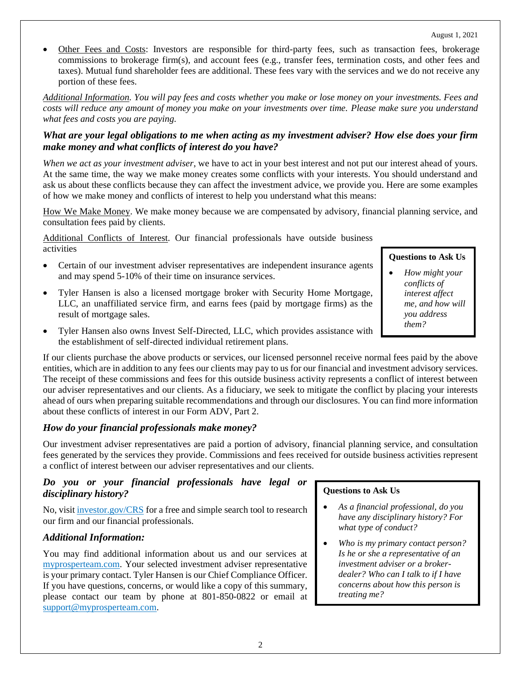• Other Fees and Costs: Investors are responsible for third-party fees, such as transaction fees, brokerage commissions to brokerage firm(s), and account fees (e.g., transfer fees, termination costs, and other fees and taxes). Mutual fund shareholder fees are additional. These fees vary with the services and we do not receive any portion of these fees.

*Additional Information. You will pay fees and costs whether you make or lose money on your investments. Fees and costs will reduce any amount of money you make on your investments over time. Please make sure you understand what fees and costs you are paying.*

# *What are your legal obligations to me when acting as my investment adviser? How else does your firm make money and what conflicts of interest do you have?*

*When we act as your investment adviser*, we have to act in your best interest and not put our interest ahead of yours. At the same time, the way we make money creates some conflicts with your interests. You should understand and ask us about these conflicts because they can affect the investment advice, we provide you. Here are some examples of how we make money and conflicts of interest to help you understand what this means:

How We Make Money. We make money because we are compensated by advisory, financial planning service, and consultation fees paid by clients.

Additional Conflicts of Interest. Our financial professionals have outside business activities

- Certain of our investment adviser representatives are independent insurance agents and may spend 5-10% of their time on insurance services.
- Tyler Hansen is also a licensed mortgage broker with Security Home Mortgage, LLC, an unaffiliated service firm, and earns fees (paid by mortgage firms) as the result of mortgage sales.
- Tyler Hansen also owns Invest Self-Directed, LLC, which provides assistance with the establishment of self-directed individual retirement plans.

If our clients purchase the above products or services, our licensed personnel receive normal fees paid by the above entities, which are in addition to any fees our clients may pay to us for our financial and investment advisory services. The receipt of these commissions and fees for this outside business activity represents a conflict of interest between our adviser representatives and our clients. As a fiduciary, we seek to mitigate the conflict by placing your interests ahead of ours when preparing suitable recommendations and through our disclosures. You can find more information about these conflicts of interest in our Form ADV, Part 2.

# *How do your financial professionals make money?*

Our investment adviser representatives are paid a portion of advisory, financial planning service, and consultation fees generated by the services they provide. Commissions and fees received for outside business activities represent a conflict of interest between our adviser representatives and our clients.

### *Do you or your financial professionals have legal or disciplinary history?*

No, visit [investor.gov/CRS](https://www.investor.gov/CRS) for a free and simple search tool to research our firm and our financial professionals.

### *Additional Information:*

You may find additional information about us and our services at [myprosperteam.com.](https://www.myprosperteam.com/) Your selected investment adviser representative is your primary contact. Tyler Hansen is our Chief Compliance Officer. If you have questions, concerns, or would like a copy of this summary, please contact our team by phone at 801-850-0822 or email at [support@myprosperteam.com.](mailto:support@myprosperteam.com)

### **Questions to Ask Us**

• *How might your conflicts of interest affect me, and how will you address them?*

### **Questions to Ask Us**

- *As a financial professional, do you have any disciplinary history? For what type of conduct?*
- *Who is my primary contact person? Is he or she a representative of an investment adviser or a brokerdealer? Who can I talk to if I have concerns about how this person is treating me?*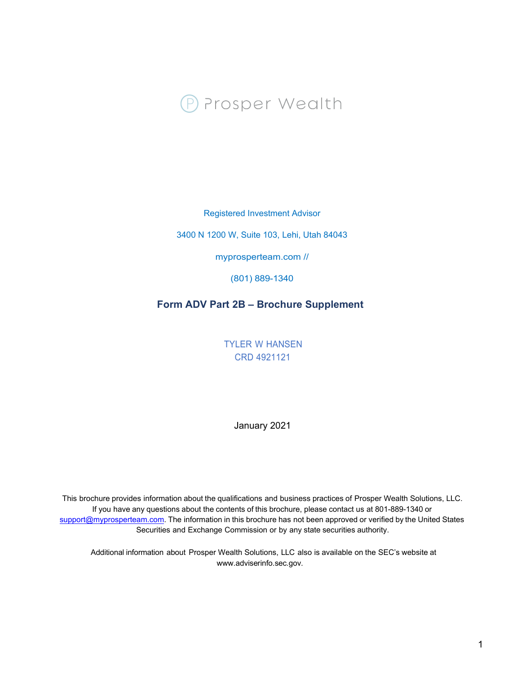

Registered Investment Advisor

3400 N 1200 W, Suite 103, Lehi, Utah 84043

myprosperteam.com //

(801) 889-1340

# **Form ADV Part 2B – Brochure Supplement**

TYLER W HANSEN CRD 4921121

January 2021

This brochure provides information about the qualifications and business practices of Prosper Wealth Solutions, LLC. If you have any questions about the contents of this brochure, please contact us at 801-889-1340 or support@myprosperteam.com. The information in this brochure has not been approved or verified by the United States Securities and Exchange Commission or by any state securities authority.

Additional information about Prosper Wealth Solutions, LLC also is available on the SEC's website at www.adviserinfo.sec.gov.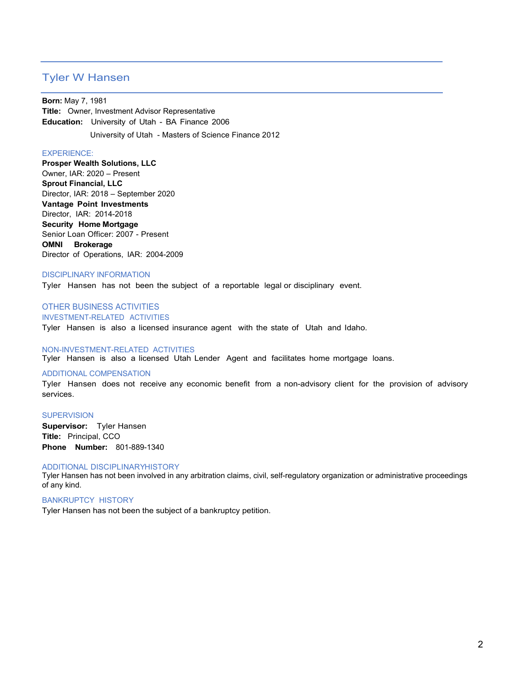# Tyler W Hansen

**Born:** May 7, 1981 **Title:** Owner, Investment Advisor Representative **Education:** University of Utah - BA Finance 2006

University of Utah - Masters of Science Finance 2012

#### EXPERIENCE:

**Prosper Wealth Solutions, LLC**  Owner, IAR: 2020 – Present **Sprout Financial, LLC**  Director, IAR: 2018 – September 2020 **Vantage Point Investments**  Director, IAR: 2014-2018 **Security Home Mortgage**  Senior Loan Officer: 2007 - Present **OMNI Brokerage**  Director of Operations, IAR: 2004-2009

#### DISCIPLINARY INFORMATION

Tyler Hansen has not been the subject of a reportable legal or disciplinary event.

### OTHER BUSINESS ACTIVITIES INVESTMENT-RELATED ACTIVITIES

Tyler Hansen is also a licensed insurance agent with the state of Utah and Idaho.

### NON-INVESTMENT-RELATED ACTIVITIES

Tyler Hansen is also a licensed Utah Lender Agent and facilitates home mortgage loans.

#### ADDITIONAL COMPENSATION

Tyler Hansen does not receive any economic benefit from a non-advisory client for the provision of advisory services.

#### **SUPERVISION**

**Supervisor:** Tyler Hansen **Title:** Principal, CCO **Phone Number:** 801-889-1340

#### ADDITIONAL DISCIPLINARYHISTORY

Tyler Hansen has not been involved in any arbitration claims, civil, self-regulatory organization or administrative proceedings of any kind.

#### BANKRUPTCY HISTORY

Tyler Hansen has not been the subject of a bankruptcy petition.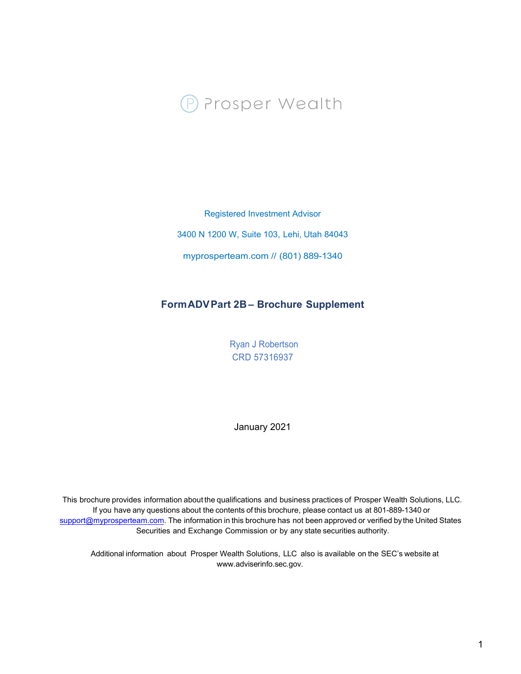

Registered Investment Advisor

3400 N 1200 W, Suite 103, Lehi, Utah 84043

myprosperteam.com // (801) 889-1340

# **FormADVPart 2B – Brochure Supplement**

Ryan J Robertson CRD 57316937

January 2021

This brochure provides information about the qualifications and business practices of Prosper Wealth Solutions, LLC. If you have any questions about the contents of this brochure, please contact us at 801-889-1340 or support@myprosperteam.com. The information in this brochure has not been approved or verified by the United States Securities and Exchange Commission or by any state securities authority.

Additional information about Prosper Wealth Solutions, LLC also is available on the SEC's website at www.adviserinfo.sec.gov.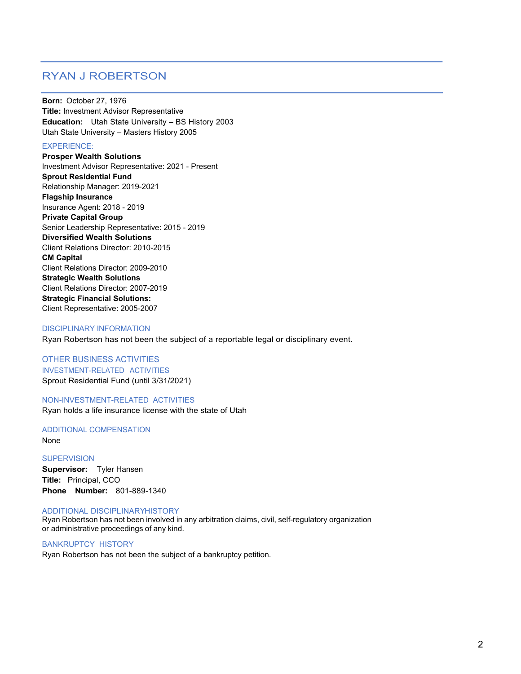# RYAN J ROBERTSON

**Born:** October 27, 1976 **Title:** Investment Advisor Representative **Education:** Utah State University – BS History 2003 Utah State University – Masters History 2005

### EXPERIENCE:

**Prosper Wealth Solutions** Investment Advisor Representative: 2021 - Present **Sprout Residential Fund**  Relationship Manager: 2019-2021 **Flagship Insurance** Insurance Agent: 2018 - 2019 **Private Capital Group** Senior Leadership Representative: 2015 - 2019 **Diversified Wealth Solutions** Client Relations Director: 2010-2015 **CM Capital** Client Relations Director: 2009-2010 **Strategic Wealth Solutions**  Client Relations Director: 2007-2019 **Strategic Financial Solutions:**  Client Representative: 2005-2007

### DISCIPLINARY INFORMATION

Ryan Robertson has not been the subject of a reportable legal or disciplinary event.

### OTHER BUSINESS ACTIVITIES INVESTMENT-RELATED ACTIVITIES Sprout Residential Fund (until 3/31/2021)

#### NON-INVESTMENT-RELATED ACTIVITIES

Ryan holds a life insurance license with the state of Utah

#### ADDITIONAL COMPENSATION None

**SUPERVISION Supervisor:** Tyler Hansen **Title:** Principal, CCO **Phone Number:** 801-889-1340

### ADDITIONAL DISCIPLINARYHISTORY

Ryan Robertson has not been involved in any arbitration claims, civil, self-regulatory organization or administrative proceedings of any kind.

### BANKRUPTCY HISTORY

Ryan Robertson has not been the subject of a bankruptcy petition.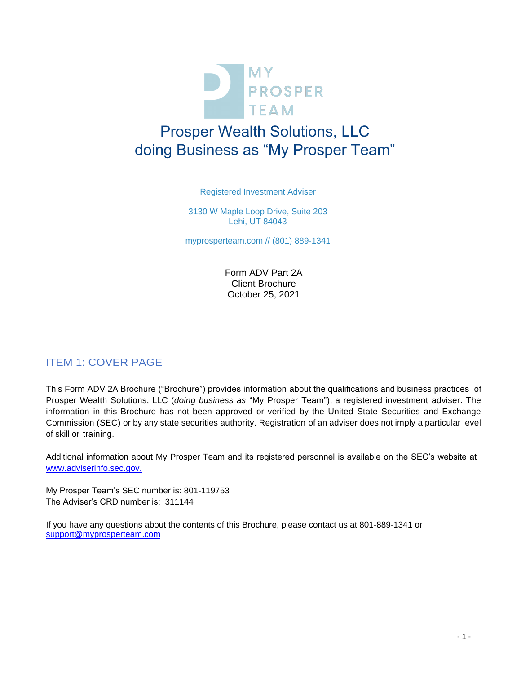

# Prosper Wealth Solutions, LLC doing Business as "My Prosper Team"

Registered Investment Adviser

3130 W Maple Loop Drive, Suite 203 Lehi, UT 84043

myprosperteam.com // (801) 889-1341

Form ADV Part 2A Client Brochure October 25, 2021

# ITEM 1: COVER PAGE

This Form ADV 2A Brochure ("Brochure") provides information about the qualifications and business practices of Prosper Wealth Solutions, LLC (*doing business as* "My Prosper Team"), a registered investment adviser. The information in this Brochure has not been approved or verified by the United State Securities and Exchange Commission (SEC) or by any state securities authority. Registration of an adviser does not imply a particular level of skill or training.

Additional information about My Prosper Team and its registered personnel is available on the SEC's website at [www.adviserinfo.sec.gov.](http://www.adviserinfo.sec.gov./)

My Prosper Team's SEC number is: 801-119753 The Adviser's CRD number is: 311144

If you have any questions about the contents of this Brochure, please contact us at 801-889-1341 o[r](mailto:%20support@myprosperteam.com) [support@myprosperteam.com](mailto:%20support@myprosperteam.com)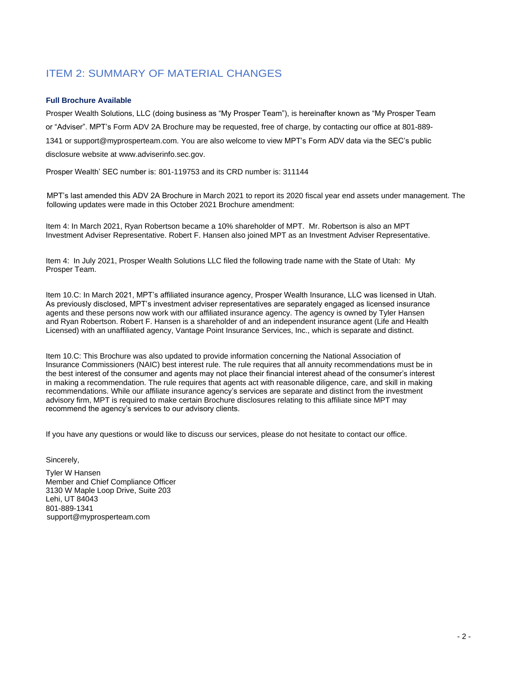# ITEM 2: SUMMARY OF MATERIAL CHANGES

### **Full Brochure Available**

Prosper Wealth Solutions, LLC (doing business as "My Prosper Team"), is hereinafter known as "My Prosper Team or "Adviser". MPT's Form ADV 2A Brochure may be requested, free of charge, by contacting our office at 801-889- 1341 or [support@myprosperteam.com. Y](mailto:support@SproutAdvisers.com)ou are also welcome to view MPT's Form ADV data via the SEC's public disclosure website at [www.adviserinfo.sec.gov.](http://www.adviserinfo.sec.gov/) 

Prosper Wealth' SEC number is: 801-119753 and its CRD number is: 311144

MPT's last amended this ADV 2A Brochure in March 2021 to report its 2020 fiscal year end assets under management. The following updates were made in this October 2021 Brochure amendment:

Item 4: In March 2021, Ryan Robertson became a 10% shareholder of MPT. Mr. Robertson is also an MPT Investment Adviser Representative. Robert F. Hansen also joined MPT as an Investment Adviser Representative.

Item 4: In July 2021, Prosper Wealth Solutions LLC filed the following trade name with the State of Utah: My Prosper Team.

Item 10.C: In March 2021, MPT's affiliated insurance agency, Prosper Wealth Insurance, LLC was licensed in Utah. As previously disclosed, MPT's investment adviser representatives are separately engaged as licensed insurance agents and these persons now work with our affiliated insurance agency. The agency is owned by Tyler Hansen and Ryan Robertson. Robert F. Hansen is a shareholder of and an independent insurance agent (Life and Health Licensed) with an unaffiliated agency, Vantage Point Insurance Services, Inc., which is separate and distinct.

Item 10.C: This Brochure was also updated to provide information concerning the National Association of Insurance Commissioners (NAIC) best interest rule. The rule requires that all annuity recommendations must be in the best interest of the consumer and agents may not place their financial interest ahead of the consumer's interest in making a recommendation. The rule requires that agents act with reasonable diligence, care, and skill in making recommendations. While our affiliate insurance agency's services are separate and distinct from the investment advisory firm, MPT is required to make certain Brochure disclosures relating to this affiliate since MPT may recommend the agency's services to our advisory clients.

If you have any questions or would like to discuss our services, please do not hesitate to contact our office.

Sincerely,

Tyler W Hansen Member and Chief Compliance Officer 3130 W Maple Loop Drive, Suite 203 Lehi, UT 84043 801-889-1341 support@myprosperteam.com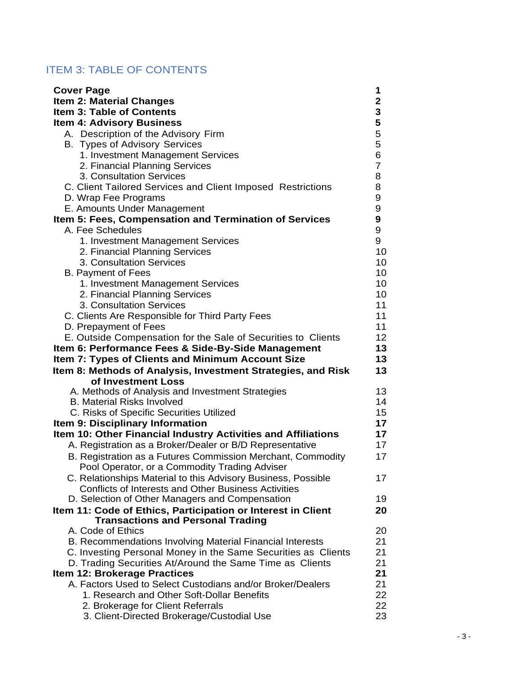# ITEM 3: TABLE OF CONTENTS

| <b>Cover Page</b>                                                               | 1              |
|---------------------------------------------------------------------------------|----------------|
| Item 2: Material Changes                                                        | $\mathbf 2$    |
| <b>Item 3: Table of Contents</b>                                                | 3              |
| <b>Item 4: Advisory Business</b>                                                | 5              |
| A. Description of the Advisory Firm                                             | 5              |
| <b>B.</b> Types of Advisory Services                                            | 5              |
| 1. Investment Management Services                                               | 6              |
| 2. Financial Planning Services                                                  | $\overline{7}$ |
| 3. Consultation Services                                                        | 8              |
| C. Client Tailored Services and Client Imposed Restrictions                     | 8              |
| D. Wrap Fee Programs                                                            | 9              |
| E. Amounts Under Management                                                     | 9              |
| Item 5: Fees, Compensation and Termination of Services                          | 9              |
| A. Fee Schedules                                                                | 9              |
| 1. Investment Management Services                                               | 9              |
| 2. Financial Planning Services                                                  | 10             |
| 3. Consultation Services                                                        | 10             |
| <b>B. Payment of Fees</b>                                                       | 10             |
| 1. Investment Management Services                                               | 10             |
| 2. Financial Planning Services                                                  | 10             |
| 3. Consultation Services                                                        | 11             |
| C. Clients Are Responsible for Third Party Fees                                 | 11             |
| D. Prepayment of Fees                                                           | 11             |
| E. Outside Compensation for the Sale of Securities to Clients                   | 12             |
| Item 6: Performance Fees & Side-By-Side Management                              | 13             |
| Item 7: Types of Clients and Minimum Account Size                               | 13             |
| Item 8: Methods of Analysis, Investment Strategies, and Risk                    | 13             |
| of Investment Loss                                                              |                |
| A. Methods of Analysis and Investment Strategies                                | 13             |
| <b>B. Material Risks Involved</b>                                               | 14             |
| C. Risks of Specific Securities Utilized                                        | 15             |
| Item 9: Disciplinary Information                                                | 17             |
| Item 10: Other Financial Industry Activities and Affiliations                   | 17             |
| A. Registration as a Broker/Dealer or B/D Representative                        | 17             |
| B. Registration as a Futures Commission Merchant, Commodity                     | 17             |
| Pool Operator, or a Commodity Trading Adviser                                   |                |
| C. Relationships Material to this Advisory Business, Possible                   | 17             |
| Conflicts of Interests and Other Business Activities                            |                |
| D. Selection of Other Managers and Compensation                                 | 19             |
| Item 11: Code of Ethics, Participation or Interest in Client                    | 20             |
| <b>Transactions and Personal Trading</b>                                        |                |
| A. Code of Ethics                                                               | 20             |
| B. Recommendations Involving Material Financial Interests                       | 21             |
| C. Investing Personal Money in the Same Securities as Clients                   | 21             |
| D. Trading Securities At/Around the Same Time as Clients                        |                |
|                                                                                 | 21             |
| Item 12: Brokerage Practices                                                    | 21             |
| A. Factors Used to Select Custodians and/or Broker/Dealers                      | 21             |
| 1. Research and Other Soft-Dollar Benefits                                      |                |
| 2. Brokerage for Client Referrals<br>3. Client-Directed Brokerage/Custodial Use | 22<br>22<br>23 |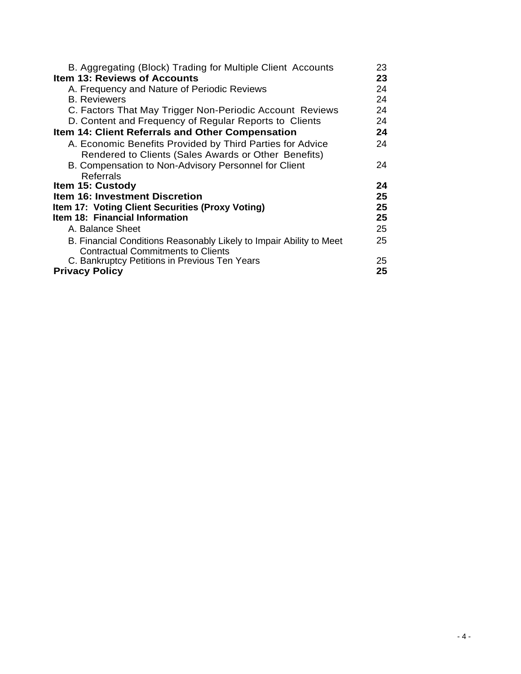| B. Aggregating (Block) Trading for Multiple Client Accounts         | 23 |
|---------------------------------------------------------------------|----|
| <b>Item 13: Reviews of Accounts</b>                                 | 23 |
| A. Frequency and Nature of Periodic Reviews                         | 24 |
| <b>B.</b> Reviewers                                                 | 24 |
| C. Factors That May Trigger Non-Periodic Account Reviews            | 24 |
| D. Content and Frequency of Regular Reports to Clients              | 24 |
| Item 14: Client Referrals and Other Compensation                    | 24 |
| A. Economic Benefits Provided by Third Parties for Advice           | 24 |
| Rendered to Clients (Sales Awards or Other Benefits)                |    |
| B. Compensation to Non-Advisory Personnel for Client                | 24 |
|                                                                     |    |
| Referrals                                                           |    |
| Item 15: Custody                                                    | 24 |
| Item 16: Investment Discretion                                      | 25 |
| <b>Item 17: Voting Client Securities (Proxy Voting)</b>             | 25 |
| Item 18: Financial Information                                      | 25 |
| A. Balance Sheet                                                    | 25 |
| B. Financial Conditions Reasonably Likely to Impair Ability to Meet | 25 |
| <b>Contractual Commitments to Clients</b>                           |    |
| C. Bankruptcy Petitions in Previous Ten Years                       | 25 |
| <b>Privacy Policy</b>                                               | 25 |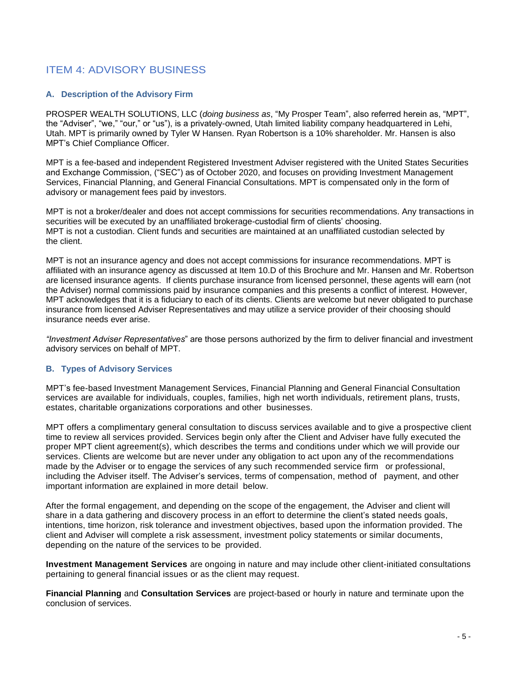# ITEM 4: ADVISORY BUSINESS

### **A. Description of the Advisory Firm**

PROSPER WEALTH SOLUTIONS, LLC (*doing business as*, "My Prosper Team", also referred herein as, "MPT", the "Adviser", "we," "our," or "us"), is a privately-owned, Utah limited liability company headquartered in Lehi, Utah. MPT is primarily owned by Tyler W Hansen. Ryan Robertson is a 10% shareholder. Mr. Hansen is also MPT's Chief Compliance Officer.

MPT is a fee-based and independent Registered Investment Adviser registered with the United States Securities and Exchange Commission, ("SEC") as of October 2020, and focuses on providing Investment Management Services, Financial Planning, and General Financial Consultations. MPT is compensated only in the form of advisory or management fees paid by investors.

MPT is not a broker/dealer and does not accept commissions for securities recommendations. Any transactions in securities will be executed by an unaffiliated brokerage-custodial firm of clients' choosing. MPT is not a custodian. Client funds and securities are maintained at an unaffiliated custodian selected by the client.

MPT is not an insurance agency and does not accept commissions for insurance recommendations. MPT is affiliated with an insurance agency as discussed at Item 10.D of this Brochure and Mr. Hansen and Mr. Robertson are licensed insurance agents. If clients purchase insurance from licensed personnel, these agents will earn (not the Adviser) normal commissions paid by insurance companies and this presents a conflict of interest. However, MPT acknowledges that it is a fiduciary to each of its clients. Clients are welcome but never obligated to purchase insurance from licensed Adviser Representatives and may utilize a service provider of their choosing should insurance needs ever arise.

*"Investment Adviser Representatives*" are those persons authorized by the firm to deliver financial and investment advisory services on behalf of MPT.

### **B. Types of Advisory Services**

MPT's fee-based Investment Management Services, Financial Planning and General Financial Consultation services are available for individuals, couples, families, high net worth individuals, retirement plans, trusts, estates, charitable organizations corporations and other businesses.

MPT offers a complimentary general consultation to discuss services available and to give a prospective client time to review all services provided. Services begin only after the Client and Adviser have fully executed the proper MPT client agreement(s), which describes the terms and conditions under which we will provide our services. Clients are welcome but are never under any obligation to act upon any of the recommendations made by the Adviser or to engage the services of any such recommended service firm or professional, including the Adviser itself. The Adviser's services, terms of compensation, method of payment, and other important information are explained in more detail below.

After the formal engagement, and depending on the scope of the engagement, the Adviser and client will share in a data gathering and discovery process in an effort to determine the client's stated needs goals, intentions, time horizon, risk tolerance and investment objectives, based upon the information provided. The client and Adviser will complete a risk assessment, investment policy statements or similar documents, depending on the nature of the services to be provided.

**Investment Management Services** are ongoing in nature and may include other client-initiated consultations pertaining to general financial issues or as the client may request.

**Financial Planning** and **Consultation Services** are project-based or hourly in nature and terminate upon the conclusion of services.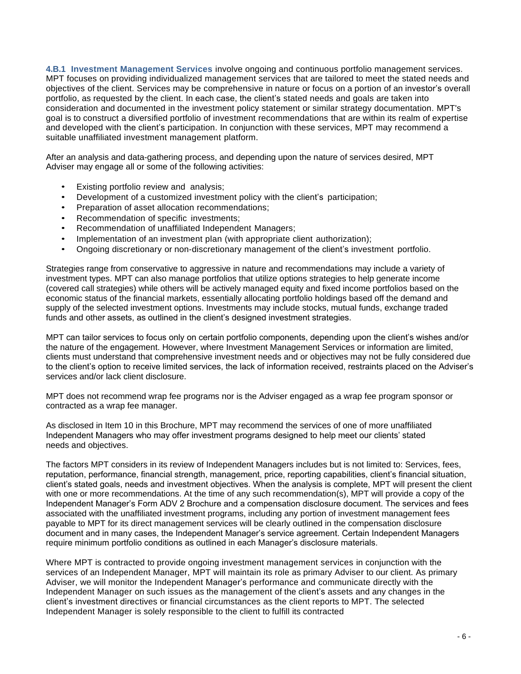**4.B.1 Investment Management Services** involve ongoing and continuous portfolio management services. MPT focuses on providing individualized management services that are tailored to meet the stated needs and objectives of the client. Services may be comprehensive in nature or focus on a portion of an investor's overall portfolio, as requested by the client. In each case, the client's stated needs and goals are taken into consideration and documented in the investment policy statement or similar strategy documentation. MPT's goal is to construct a diversified portfolio of investment recommendations that are within its realm of expertise and developed with the client's participation. In conjunction with these services, MPT may recommend a suitable unaffiliated investment management platform.

After an analysis and data-gathering process, and depending upon the nature of services desired, MPT Adviser may engage all or some of the following activities:

- Existing portfolio review and analysis;
- Development of a customized investment policy with the client's participation;
- Preparation of asset allocation recommendations;
- Recommendation of specific investments;
- Recommendation of unaffiliated Independent Managers;
- Implementation of an investment plan (with appropriate client authorization);
- Ongoing discretionary or non-discretionary management of the client's investment portfolio.

Strategies range from conservative to aggressive in nature and recommendations may include a variety of investment types. MPT can also manage portfolios that utilize options strategies to help generate income (covered call strategies) while others will be actively managed equity and fixed income portfolios based on the economic status of the financial markets, essentially allocating portfolio holdings based off the demand and supply of the selected investment options. Investments may include stocks, mutual funds, exchange traded funds and other assets, as outlined in the client's designed investment strategies.

MPT can tailor services to focus only on certain portfolio components, depending upon the client's wishes and/or the nature of the engagement. However, where Investment Management Services or information are limited, clients must understand that comprehensive investment needs and or objectives may not be fully considered due to the client's option to receive limited services, the lack of information received, restraints placed on the Adviser's services and/or lack client disclosure.

MPT does not recommend wrap fee programs nor is the Adviser engaged as a wrap fee program sponsor or contracted as a wrap fee manager.

As disclosed in Item 10 in this Brochure, MPT may recommend the services of one of more unaffiliated Independent Managers who may offer investment programs designed to help meet our clients' stated needs and objectives.

The factors MPT considers in its review of Independent Managers includes but is not limited to: Services, fees, reputation, performance, financial strength, management, price, reporting capabilities, client's financial situation, client's stated goals, needs and investment objectives. When the analysis is complete, MPT will present the client with one or more recommendations. At the time of any such recommendation(s), MPT will provide a copy of the Independent Manager's Form ADV 2 Brochure and a compensation disclosure document. The services and fees associated with the unaffiliated investment programs, including any portion of investment management fees payable to MPT for its direct management services will be clearly outlined in the compensation disclosure document and in many cases, the Independent Manager's service agreement. Certain Independent Managers require minimum portfolio conditions as outlined in each Manager's disclosure materials.

Where MPT is contracted to provide ongoing investment management services in conjunction with the services of an Independent Manager, MPT will maintain its role as primary Adviser to our client. As primary Adviser, we will monitor the Independent Manager's performance and communicate directly with the Independent Manager on such issues as the management of the client's assets and any changes in the client's investment directives or financial circumstances as the client reports to MPT. The selected Independent Manager is solely responsible to the client to fulfill its contracted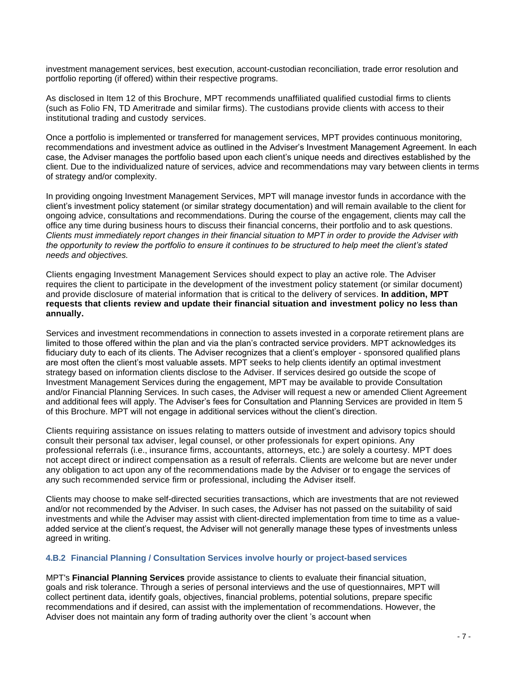investment management services, best execution, account-custodian reconciliation, trade error resolution and portfolio reporting (if offered) within their respective programs.

As disclosed in Item 12 of this Brochure, MPT recommends unaffiliated qualified custodial firms to clients (such as Folio FN, TD Ameritrade and similar firms). The custodians provide clients with access to their institutional trading and custody services.

Once a portfolio is implemented or transferred for management services, MPT provides continuous monitoring, recommendations and investment advice as outlined in the Adviser's Investment Management Agreement. In each case, the Adviser manages the portfolio based upon each client's unique needs and directives established by the client. Due to the individualized nature of services, advice and recommendations may vary between clients in terms of strategy and/or complexity.

In providing ongoing Investment Management Services, MPT will manage investor funds in accordance with the client's investment policy statement (or similar strategy documentation) and will remain available to the client for ongoing advice, consultations and recommendations. During the course of the engagement, clients may call the office any time during business hours to discuss their financial concerns, their portfolio and to ask questions. *Clients must immediately report changes in their financial situation to MPT in order to provide the Adviser with the opportunity to review the portfolio to ensure it continues to be structured to help meet the client's stated needs and objectives.*

Clients engaging Investment Management Services should expect to play an active role. The Adviser requires the client to participate in the development of the investment policy statement (or similar document) and provide disclosure of material information that is critical to the delivery of services. **In addition, MPT requests that clients review and update their financial situation and investment policy no less than annually.**

Services and investment recommendations in connection to assets invested in a corporate retirement plans are limited to those offered within the plan and via the plan's contracted service providers. MPT acknowledges its fiduciary duty to each of its clients. The Adviser recognizes that a client's employer - sponsored qualified plans are most often the client's most valuable assets. MPT seeks to help clients identify an optimal investment strategy based on information clients disclose to the Adviser. If services desired go outside the scope of Investment Management Services during the engagement, MPT may be available to provide Consultation and/or Financial Planning Services. In such cases, the Adviser will request a new or amended Client Agreement and additional fees will apply. The Adviser's fees for Consultation and Planning Services are provided in Item 5 of this Brochure. MPT will not engage in additional services without the client's direction.

Clients requiring assistance on issues relating to matters outside of investment and advisory topics should consult their personal tax adviser, legal counsel, or other professionals for expert opinions. Any professional referrals (i.e., insurance firms, accountants, attorneys, etc.) are solely a courtesy. MPT does not accept direct or indirect compensation as a result of referrals. Clients are welcome but are never under any obligation to act upon any of the recommendations made by the Adviser or to engage the services of any such recommended service firm or professional, including the Adviser itself.

Clients may choose to make self-directed securities transactions, which are investments that are not reviewed and/or not recommended by the Adviser. In such cases, the Adviser has not passed on the suitability of said investments and while the Adviser may assist with client-directed implementation from time to time as a valueadded service at the client's request, the Adviser will not generally manage these types of investments unless agreed in writing.

### **4.B.2 Financial Planning / Consultation Services involve hourly or project-based services**

MPT's **Financial Planning Services** provide assistance to clients to evaluate their financial situation, goals and risk tolerance. Through a series of personal interviews and the use of questionnaires, MPT will collect pertinent data, identify goals, objectives, financial problems, potential solutions, prepare specific recommendations and if desired, can assist with the implementation of recommendations. However, the Adviser does not maintain any form of trading authority over the client 's account when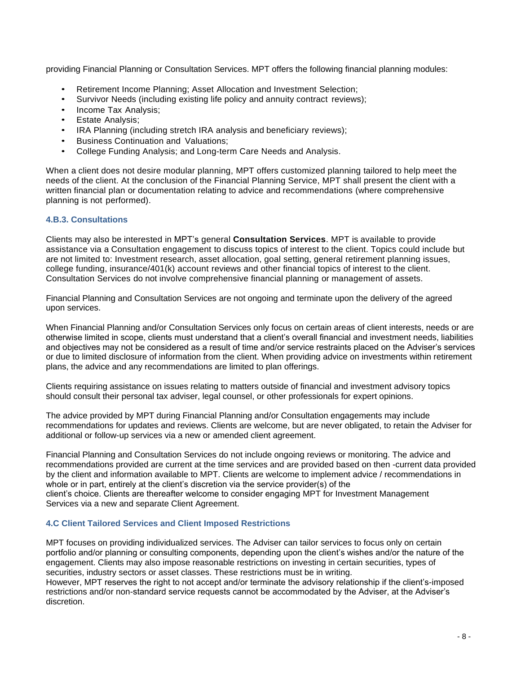providing Financial Planning or Consultation Services. MPT offers the following financial planning modules:

- Retirement Income Planning; Asset Allocation and Investment Selection;
- Survivor Needs (including existing life policy and annuity contract reviews);
- Income Tax Analysis;
- Estate Analysis;
- IRA Planning (including stretch IRA analysis and beneficiary reviews);
- Business Continuation and Valuations;
- College Funding Analysis; and Long-term Care Needs and Analysis.

When a client does not desire modular planning, MPT offers customized planning tailored to help meet the needs of the client. At the conclusion of the Financial Planning Service, MPT shall present the client with a written financial plan or documentation relating to advice and recommendations (where comprehensive planning is not performed).

### **4.B.3. Consultations**

Clients may also be interested in MPT's general **Consultation Services**. MPT is available to provide assistance via a Consultation engagement to discuss topics of interest to the client. Topics could include but are not limited to: Investment research, asset allocation, goal setting, general retirement planning issues, college funding, insurance/401(k) account reviews and other financial topics of interest to the client. Consultation Services do not involve comprehensive financial planning or management of assets.

Financial Planning and Consultation Services are not ongoing and terminate upon the delivery of the agreed upon services.

When Financial Planning and/or Consultation Services only focus on certain areas of client interests, needs or are otherwise limited in scope, clients must understand that a client's overall financial and investment needs, liabilities and objectives may not be considered as a result of time and/or service restraints placed on the Adviser's services or due to limited disclosure of information from the client. When providing advice on investments within retirement plans, the advice and any recommendations are limited to plan offerings.

Clients requiring assistance on issues relating to matters outside of financial and investment advisory topics should consult their personal tax adviser, legal counsel, or other professionals for expert opinions.

The advice provided by MPT during Financial Planning and/or Consultation engagements may include recommendations for updates and reviews. Clients are welcome, but are never obligated, to retain the Adviser for additional or follow-up services via a new or amended client agreement.

Financial Planning and Consultation Services do not include ongoing reviews or monitoring. The advice and recommendations provided are current at the time services and are provided based on then -current data provided by the client and information available to MPT. Clients are welcome to implement advice / recommendations in whole or in part, entirely at the client's discretion via the service provider(s) of the client's choice. Clients are thereafter welcome to consider engaging MPT for Investment Management Services via a new and separate Client Agreement.

### **4.C Client Tailored Services and Client Imposed Restrictions**

MPT focuses on providing individualized services. The Adviser can tailor services to focus only on certain portfolio and/or planning or consulting components, depending upon the client's wishes and/or the nature of the engagement. Clients may also impose reasonable restrictions on investing in certain securities, types of securities, industry sectors or asset classes. These restrictions must be in writing.

However, MPT reserves the right to not accept and/or terminate the advisory relationship if the client's-imposed restrictions and/or non-standard service requests cannot be accommodated by the Adviser, at the Adviser's discretion.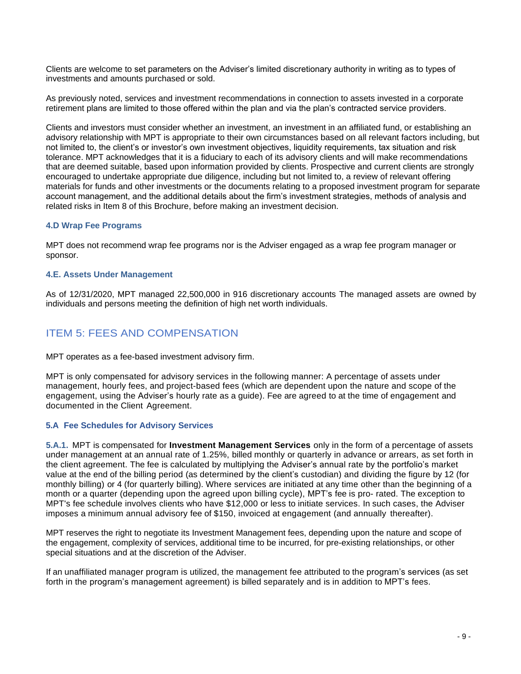Clients are welcome to set parameters on the Adviser's limited discretionary authority in writing as to types of investments and amounts purchased or sold.

As previously noted, services and investment recommendations in connection to assets invested in a corporate retirement plans are limited to those offered within the plan and via the plan's contracted service providers.

Clients and investors must consider whether an investment, an investment in an affiliated fund, or establishing an advisory relationship with MPT is appropriate to their own circumstances based on all relevant factors including, but not limited to, the client's or investor's own investment objectives, liquidity requirements, tax situation and risk tolerance. MPT acknowledges that it is a fiduciary to each of its advisory clients and will make recommendations that are deemed suitable, based upon information provided by clients. Prospective and current clients are strongly encouraged to undertake appropriate due diligence, including but not limited to, a review of relevant offering materials for funds and other investments or the documents relating to a proposed investment program for separate account management, and the additional details about the firm's investment strategies, methods of analysis and related risks in Item 8 of this Brochure, before making an investment decision.

### **4.D Wrap Fee Programs**

MPT does not recommend wrap fee programs nor is the Adviser engaged as a wrap fee program manager or sponsor.

#### **4.E. Assets Under Management**

As of 12/31/2020, MPT managed 22,500,000 in 916 discretionary accounts The managed assets are owned by individuals and persons meeting the definition of high net worth individuals.

# ITEM 5: FEES AND COMPENSATION

MPT operates as a fee-based investment advisory firm.

MPT is only compensated for advisory services in the following manner: A percentage of assets under management, hourly fees, and project-based fees (which are dependent upon the nature and scope of the engagement, using the Adviser's hourly rate as a guide). Fee are agreed to at the time of engagement and documented in the Client Agreement.

### **5.A Fee Schedules for Advisory Services**

**5.A.1.** MPT is compensated for **Investment Management Services** only in the form of a percentage of assets under management at an annual rate of 1.25%, billed monthly or quarterly in advance or arrears, as set forth in the client agreement. The fee is calculated by multiplying the Adviser's annual rate by the portfolio's market value at the end of the billing period (as determined by the client's custodian) and dividing the figure by 12 (for monthly billing) or 4 (for quarterly billing). Where services are initiated at any time other than the beginning of a month or a quarter (depending upon the agreed upon billing cycle), MPT's fee is pro- rated. The exception to MPT's fee schedule involves clients who have \$12,000 or less to initiate services. In such cases, the Adviser imposes a minimum annual advisory fee of \$150, invoiced at engagement (and annually thereafter).

MPT reserves the right to negotiate its Investment Management fees, depending upon the nature and scope of the engagement, complexity of services, additional time to be incurred, for pre-existing relationships, or other special situations and at the discretion of the Adviser.

If an unaffiliated manager program is utilized, the management fee attributed to the program's services (as set forth in the program's management agreement) is billed separately and is in addition to MPT's fees.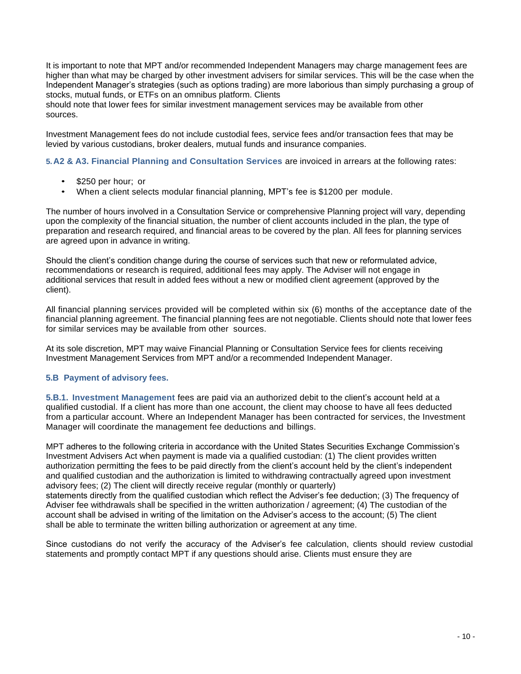It is important to note that MPT and/or recommended Independent Managers may charge management fees are higher than what may be charged by other investment advisers for similar services. This will be the case when the Independent Manager's strategies (such as options trading) are more laborious than simply purchasing a group of stocks, mutual funds, or ETFs on an omnibus platform. Clients

should note that lower fees for similar investment management services may be available from other sources.

Investment Management fees do not include custodial fees, service fees and/or transaction fees that may be levied by various custodians, broker dealers, mutual funds and insurance companies.

**5.A2 & A3. Financial Planning and Consultation Services** are invoiced in arrears at the following rates:

- \$250 per hour; or
- When a client selects modular financial planning, MPT's fee is \$1200 per module.

The number of hours involved in a Consultation Service or comprehensive Planning project will vary, depending upon the complexity of the financial situation, the number of client accounts included in the plan, the type of preparation and research required, and financial areas to be covered by the plan. All fees for planning services are agreed upon in advance in writing.

Should the client's condition change during the course of services such that new or reformulated advice, recommendations or research is required, additional fees may apply. The Adviser will not engage in additional services that result in added fees without a new or modified client agreement (approved by the client).

All financial planning services provided will be completed within six (6) months of the acceptance date of the financial planning agreement. The financial planning fees are not negotiable. Clients should note that lower fees for similar services may be available from other sources.

At its sole discretion, MPT may waive Financial Planning or Consultation Service fees for clients receiving Investment Management Services from MPT and/or a recommended Independent Manager.

### **5.B Payment of advisory fees.**

**5.B.1. Investment Management** fees are paid via an authorized debit to the client's account held at a qualified custodial. If a client has more than one account, the client may choose to have all fees deducted from a particular account. Where an Independent Manager has been contracted for services, the Investment Manager will coordinate the management fee deductions and billings.

MPT adheres to the following criteria in accordance with the United States Securities Exchange Commission's Investment Advisers Act when payment is made via a qualified custodian: (1) The client provides written authorization permitting the fees to be paid directly from the client's account held by the client's independent and qualified custodian and the authorization is limited to withdrawing contractually agreed upon investment advisory fees; (2) The client will directly receive regular (monthly or quarterly) statements directly from the qualified custodian which reflect the Adviser's fee deduction; (3) The frequency of Adviser fee withdrawals shall be specified in the written authorization / agreement; (4) The custodian of the account shall be advised in writing of the limitation on the Adviser's access to the account; (5) The client shall be able to terminate the written billing authorization or agreement at any time.

Since custodians do not verify the accuracy of the Adviser's fee calculation, clients should review custodial statements and promptly contact MPT if any questions should arise. Clients must ensure they are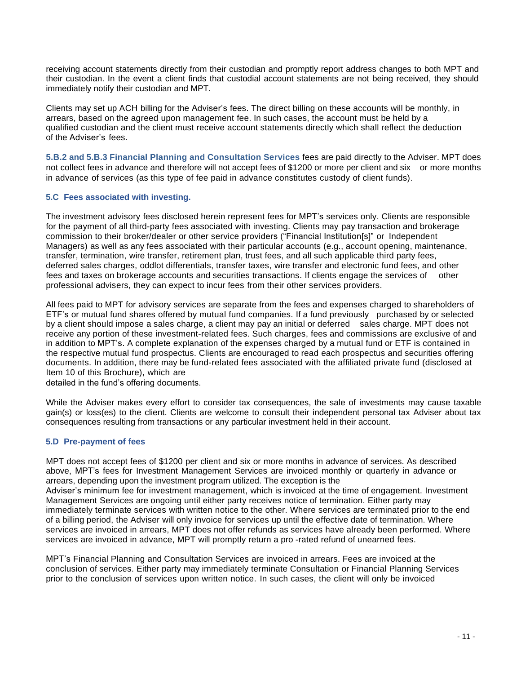receiving account statements directly from their custodian and promptly report address changes to both MPT and their custodian. In the event a client finds that custodial account statements are not being received, they should immediately notify their custodian and MPT.

Clients may set up ACH billing for the Adviser's fees. The direct billing on these accounts will be monthly, in arrears, based on the agreed upon management fee. In such cases, the account must be held by a qualified custodian and the client must receive account statements directly which shall reflect the deduction of the Adviser's fees.

**5.B.2 and 5.B.3 Financial Planning and Consultation Services** fees are paid directly to the Adviser. MPT does not collect fees in advance and therefore will not accept fees of \$1200 or more per client and six or more months in advance of services (as this type of fee paid in advance constitutes custody of client funds).

### **5.C Fees associated with investing.**

The investment advisory fees disclosed herein represent fees for MPT's services only. Clients are responsible for the payment of all third-party fees associated with investing. Clients may pay transaction and brokerage commission to their broker/dealer or other service providers ("Financial Institution[s]" or Independent Managers) as well as any fees associated with their particular accounts (e.g., account opening, maintenance, transfer, termination, wire transfer, retirement plan, trust fees, and all such applicable third party fees, deferred sales charges, oddlot differentials, transfer taxes, wire transfer and electronic fund fees, and other fees and taxes on brokerage accounts and securities transactions. If clients engage the services of other professional advisers, they can expect to incur fees from their other services providers.

All fees paid to MPT for advisory services are separate from the fees and expenses charged to shareholders of ETF's or mutual fund shares offered by mutual fund companies. If a fund previously purchased by or selected by a client should impose a sales charge, a client may pay an initial or deferred sales charge. MPT does not receive any portion of these investment-related fees. Such charges, fees and commissions are exclusive of and in addition to MPT's. A complete explanation of the expenses charged by a mutual fund or ETF is contained in the respective mutual fund prospectus. Clients are encouraged to read each prospectus and securities offering documents. In addition, there may be fund-related fees associated with the affiliated private fund (disclosed at Item 10 of this Brochure), which are

detailed in the fund's offering documents.

While the Adviser makes every effort to consider tax consequences, the sale of investments may cause taxable gain(s) or loss(es) to the client. Clients are welcome to consult their independent personal tax Adviser about tax consequences resulting from transactions or any particular investment held in their account.

### **5.D Pre-payment of fees**

MPT does not accept fees of \$1200 per client and six or more months in advance of services. As described above, MPT's fees for Investment Management Services are invoiced monthly or quarterly in advance or arrears, depending upon the investment program utilized. The exception is the Adviser's minimum fee for investment management, which is invoiced at the time of engagement. Investment Management Services are ongoing until either party receives notice of termination. Either party may immediately terminate services with written notice to the other. Where services are terminated prior to the end of a billing period, the Adviser will only invoice for services up until the effective date of termination. Where services are invoiced in arrears, MPT does not offer refunds as services have already been performed. Where services are invoiced in advance, MPT will promptly return a pro -rated refund of unearned fees.

MPT's Financial Planning and Consultation Services are invoiced in arrears. Fees are invoiced at the conclusion of services. Either party may immediately terminate Consultation or Financial Planning Services prior to the conclusion of services upon written notice. In such cases, the client will only be invoiced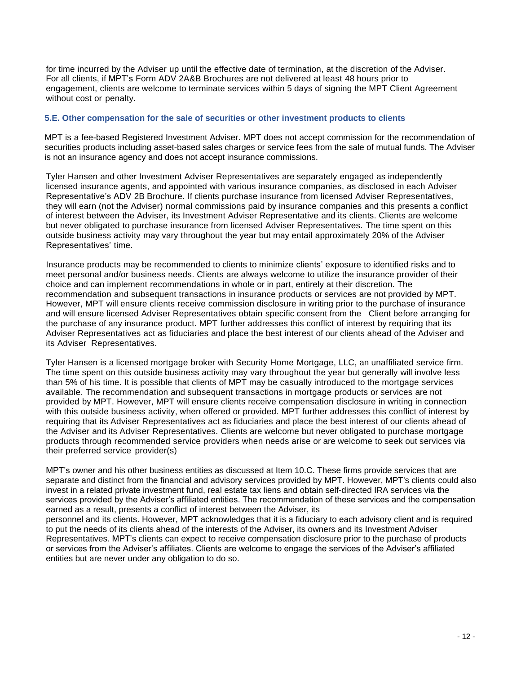for time incurred by the Adviser up until the effective date of termination, at the discretion of the Adviser. For all clients, if MPT's Form ADV 2A&B Brochures are not delivered at least 48 hours prior to engagement, clients are welcome to terminate services within 5 days of signing the MPT Client Agreement without cost or penalty.

### **5.E. Other compensation for the sale of securities or other investment products to clients**

MPT is a fee-based Registered Investment Adviser. MPT does not accept commission for the recommendation of securities products including asset-based sales charges or service fees from the sale of mutual funds. The Adviser is not an insurance agency and does not accept insurance commissions.

Tyler Hansen and other Investment Adviser Representatives are separately engaged as independently licensed insurance agents, and appointed with various insurance companies, as disclosed in each Adviser Representative's ADV 2B Brochure. If clients purchase insurance from licensed Adviser Representatives, they will earn (not the Adviser) normal commissions paid by insurance companies and this presents a conflict of interest between the Adviser, its Investment Adviser Representative and its clients. Clients are welcome but never obligated to purchase insurance from licensed Adviser Representatives. The time spent on this outside business activity may vary throughout the year but may entail approximately 20% of the Adviser Representatives' time.

Insurance products may be recommended to clients to minimize clients' exposure to identified risks and to meet personal and/or business needs. Clients are always welcome to utilize the insurance provider of their choice and can implement recommendations in whole or in part, entirely at their discretion. The recommendation and subsequent transactions in insurance products or services are not provided by MPT. However, MPT will ensure clients receive commission disclosure in writing prior to the purchase of insurance and will ensure licensed Adviser Representatives obtain specific consent from the Client before arranging for the purchase of any insurance product. MPT further addresses this conflict of interest by requiring that its Adviser Representatives act as fiduciaries and place the best interest of our clients ahead of the Adviser and its Adviser Representatives.

Tyler Hansen is a licensed mortgage broker with Security Home Mortgage, LLC, an unaffiliated service firm. The time spent on this outside business activity may vary throughout the year but generally will involve less than 5% of his time. It is possible that clients of MPT may be casually introduced to the mortgage services available. The recommendation and subsequent transactions in mortgage products or services are not provided by MPT. However, MPT will ensure clients receive compensation disclosure in writing in connection with this outside business activity, when offered or provided. MPT further addresses this conflict of interest by requiring that its Adviser Representatives act as fiduciaries and place the best interest of our clients ahead of the Adviser and its Adviser Representatives. Clients are welcome but never obligated to purchase mortgage products through recommended service providers when needs arise or are welcome to seek out services via their preferred service provider(s)

MPT's owner and his other business entities as discussed at Item 10.C. These firms provide services that are separate and distinct from the financial and advisory services provided by MPT. However, MPT's clients could also invest in a related private investment fund, real estate tax liens and obtain self-directed IRA services via the services provided by the Adviser's affiliated entities. The recommendation of these services and the compensation earned as a result, presents a conflict of interest between the Adviser, its

personnel and its clients. However, MPT acknowledges that it is a fiduciary to each advisory client and is required to put the needs of its clients ahead of the interests of the Adviser, its owners and its Investment Adviser Representatives. MPT's clients can expect to receive compensation disclosure prior to the purchase of products or services from the Adviser's affiliates. Clients are welcome to engage the services of the Adviser's affiliated entities but are never under any obligation to do so.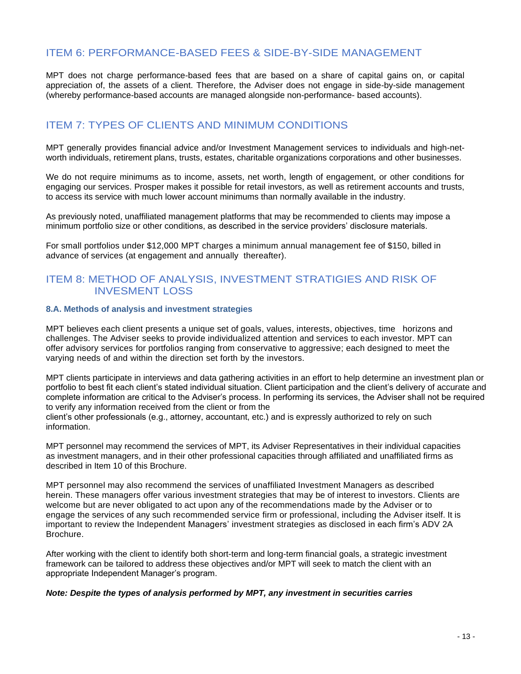# ITEM 6: PERFORMANCE-BASED FEES & SIDE-BY-SIDE MANAGEMENT

MPT does not charge performance-based fees that are based on a share of capital gains on, or capital appreciation of, the assets of a client. Therefore, the Adviser does not engage in side-by-side management (whereby performance-based accounts are managed alongside non-performance- based accounts).

# ITEM 7: TYPES OF CLIENTS AND MINIMUM CONDITIONS

MPT generally provides financial advice and/or Investment Management services to individuals and high-networth individuals, retirement plans, trusts, estates, charitable organizations corporations and other businesses.

We do not require minimums as to income, assets, net worth, length of engagement, or other conditions for engaging our services. Prosper makes it possible for retail investors, as well as retirement accounts and trusts, to access its service with much lower account minimums than normally available in the industry.

As previously noted, unaffiliated management platforms that may be recommended to clients may impose a minimum portfolio size or other conditions, as described in the service providers' disclosure materials.

For small portfolios under \$12,000 MPT charges a minimum annual management fee of \$150, billed in advance of services (at engagement and annually thereafter).

# ITEM 8: METHOD OF ANALYSIS, INVESTMENT STRATIGIES AND RISK OF INVESMENT LOSS

### **8.A. Methods of analysis and investment strategies**

MPT believes each client presents a unique set of goals, values, interests, objectives, time horizons and challenges. The Adviser seeks to provide individualized attention and services to each investor. MPT can offer advisory services for portfolios ranging from conservative to aggressive; each designed to meet the varying needs of and within the direction set forth by the investors.

MPT clients participate in interviews and data gathering activities in an effort to help determine an investment plan or portfolio to best fit each client's stated individual situation. Client participation and the client's delivery of accurate and complete information are critical to the Adviser's process. In performing its services, the Adviser shall not be required to verify any information received from the client or from the

client's other professionals (e.g., attorney, accountant, etc.) and is expressly authorized to rely on such information.

MPT personnel may recommend the services of MPT, its Adviser Representatives in their individual capacities as investment managers, and in their other professional capacities through affiliated and unaffiliated firms as described in Item 10 of this Brochure.

MPT personnel may also recommend the services of unaffiliated Investment Managers as described herein. These managers offer various investment strategies that may be of interest to investors. Clients are welcome but are never obligated to act upon any of the recommendations made by the Adviser or to engage the services of any such recommended service firm or professional, including the Adviser itself. It is important to review the Independent Managers' investment strategies as disclosed in each firm's ADV 2A Brochure.

After working with the client to identify both short-term and long-term financial goals, a strategic investment framework can be tailored to address these objectives and/or MPT will seek to match the client with an appropriate Independent Manager's program.

### *Note: Despite the types of analysis performed by MPT, any investment in securities carries*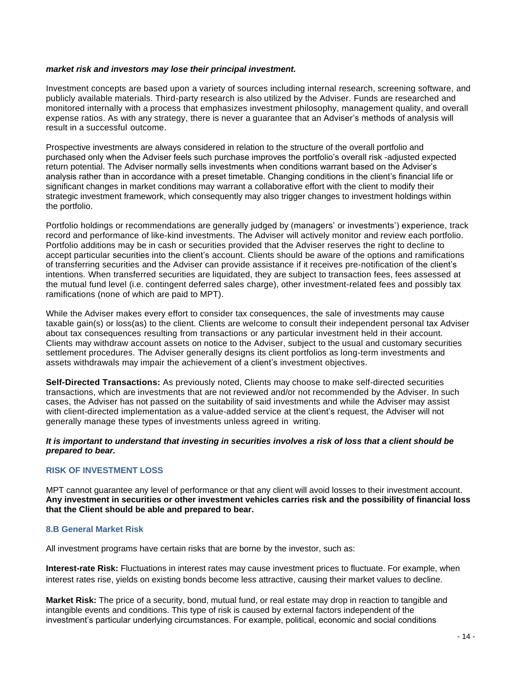### *market risk and investors may lose their principal investment.*

Investment concepts are based upon a variety of sources including internal research, screening software, and publicly available materials. Third-party research is also utilized by the Adviser. Funds are researched and monitored internally with a process that emphasizes investment philosophy, management quality, and overall expense ratios. As with any strategy, there is never a guarantee that an Adviser's methods of analysis will result in a successful outcome.

Prospective investments are always considered in relation to the structure of the overall portfolio and purchased only when the Adviser feels such purchase improves the portfolio's overall risk -adjusted expected return potential. The Adviser normally sells investments when conditions warrant based on the Adviser's analysis rather than in accordance with a preset timetable. Changing conditions in the client's financial life or significant changes in market conditions may warrant a collaborative effort with the client to modify their strategic investment framework, which consequently may also trigger changes to investment holdings within the portfolio.

Portfolio holdings or recommendations are generally judged by (managers' or investments') experience, track record and performance of like-kind investments. The Adviser will actively monitor and review each portfolio. Portfolio additions may be in cash or securities provided that the Adviser reserves the right to decline to accept particular securities into the client's account. Clients should be aware of the options and ramifications of transferring securities and the Adviser can provide assistance if it receives pre-notification of the client's intentions. When transferred securities are liquidated, they are subject to transaction fees, fees assessed at the mutual fund level (i.e. contingent deferred sales charge), other investment-related fees and possibly tax ramifications (none of which are paid to MPT).

While the Adviser makes every effort to consider tax consequences, the sale of investments may cause taxable gain(s) or loss(as) to the client. Clients are welcome to consult their independent personal tax Adviser about tax consequences resulting from transactions or any particular investment held in their account. Clients may withdraw account assets on notice to the Adviser, subject to the usual and customary securities settlement procedures. The Adviser generally designs its client portfolios as long-term investments and assets withdrawals may impair the achievement of a client's investment objectives.

**Self-Directed Transactions:** As previously noted, Clients may choose to make self-directed securities transactions, which are investments that are not reviewed and/or not recommended by the Adviser. In such cases, the Adviser has not passed on the suitability of said investments and while the Adviser may assist with client-directed implementation as a value-added service at the client's request, the Adviser will not generally manage these types of investments unless agreed in writing.

### *It is important to understand that investing in securities involves a risk of loss that a client should be prepared to bear.*

### **RISK OF INVESTMENT LOSS**

MPT cannot guarantee any level of performance or that any client will avoid losses to their investment account. **Any investment in securities or other investment vehicles carries risk and the possibility of financial loss that the Client should be able and prepared to bear.**

### **8.B General Market Risk**

All investment programs have certain risks that are borne by the investor, such as:

**Interest-rate Risk:** Fluctuations in interest rates may cause investment prices to fluctuate. For example, when interest rates rise, yields on existing bonds become less attractive, causing their market values to decline.

**Market Risk:** The price of a security, bond, mutual fund, or real estate may drop in reaction to tangible and intangible events and conditions. This type of risk is caused by external factors independent of the investment's particular underlying circumstances. For example, political, economic and social conditions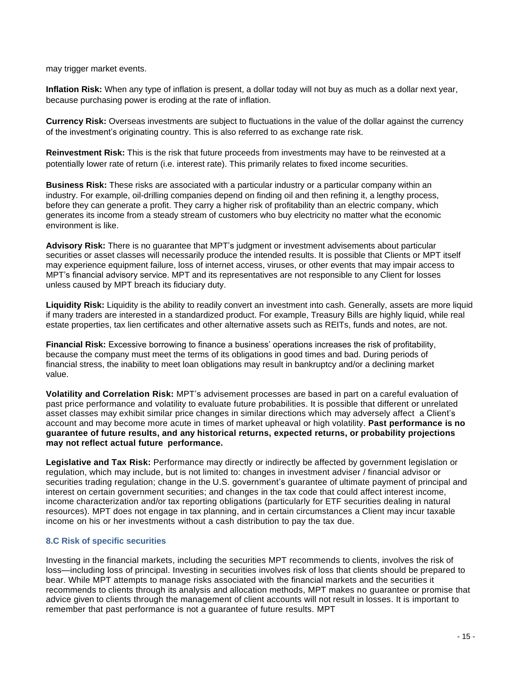may trigger market events.

**Inflation Risk:** When any type of inflation is present, a dollar today will not buy as much as a dollar next year, because purchasing power is eroding at the rate of inflation.

**Currency Risk:** Overseas investments are subject to fluctuations in the value of the dollar against the currency of the investment's originating country. This is also referred to as exchange rate risk.

**Reinvestment Risk:** This is the risk that future proceeds from investments may have to be reinvested at a potentially lower rate of return (i.e. interest rate). This primarily relates to fixed income securities.

**Business Risk:** These risks are associated with a particular industry or a particular company within an industry. For example, oil-drilling companies depend on finding oil and then refining it, a lengthy process, before they can generate a profit. They carry a higher risk of profitability than an electric company, which generates its income from a steady stream of customers who buy electricity no matter what the economic environment is like.

**Advisory Risk:** There is no guarantee that MPT's judgment or investment advisements about particular securities or asset classes will necessarily produce the intended results. It is possible that Clients or MPT itself may experience equipment failure, loss of internet access, viruses, or other events that may impair access to MPT's financial advisory service. MPT and its representatives are not responsible to any Client for losses unless caused by MPT breach its fiduciary duty.

**Liquidity Risk:** Liquidity is the ability to readily convert an investment into cash. Generally, assets are more liquid if many traders are interested in a standardized product. For example, Treasury Bills are highly liquid, while real estate properties, tax lien certificates and other alternative assets such as REITs, funds and notes, are not.

**Financial Risk:** Excessive borrowing to finance a business' operations increases the risk of profitability, because the company must meet the terms of its obligations in good times and bad. During periods of financial stress, the inability to meet loan obligations may result in bankruptcy and/or a declining market value.

**Volatility and Correlation Risk:** MPT's advisement processes are based in part on a careful evaluation of past price performance and volatility to evaluate future probabilities. It is possible that different or unrelated asset classes may exhibit similar price changes in similar directions which may adversely affect a Client's account and may become more acute in times of market upheaval or high volatility. **Past performance is no guarantee of future results, and any historical returns, expected returns, or probability projections may not reflect actual future performance.**

**Legislative and Tax Risk:** Performance may directly or indirectly be affected by government legislation or regulation, which may include, but is not limited to: changes in investment adviser / financial advisor or securities trading regulation; change in the U.S. government's guarantee of ultimate payment of principal and interest on certain government securities; and changes in the tax code that could affect interest income, income characterization and/or tax reporting obligations (particularly for ETF securities dealing in natural resources). MPT does not engage in tax planning, and in certain circumstances a Client may incur taxable income on his or her investments without a cash distribution to pay the tax due.

### **8.C Risk of specific securities**

Investing in the financial markets, including the securities MPT recommends to clients, involves the risk of loss—including loss of principal. Investing in securities involves risk of loss that clients should be prepared to bear. While MPT attempts to manage risks associated with the financial markets and the securities it recommends to clients through its analysis and allocation methods, MPT makes no guarantee or promise that advice given to clients through the management of client accounts will not result in losses. It is important to remember that past performance is not a guarantee of future results. MPT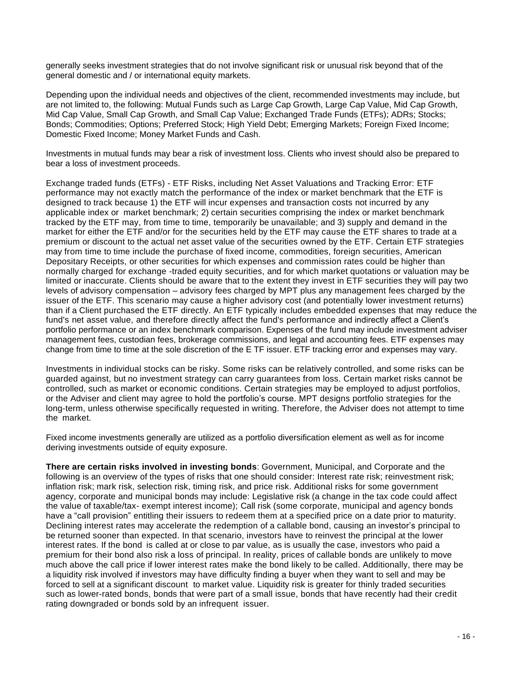generally seeks investment strategies that do not involve significant risk or unusual risk beyond that of the general domestic and / or international equity markets.

Depending upon the individual needs and objectives of the client, recommended investments may include, but are not limited to, the following: Mutual Funds such as Large Cap Growth, Large Cap Value, Mid Cap Growth, Mid Cap Value, Small Cap Growth, and Small Cap Value; Exchanged Trade Funds (ETFs); ADRs; Stocks; Bonds; Commodities; Options; Preferred Stock; High Yield Debt; Emerging Markets; Foreign Fixed Income; Domestic Fixed Income; Money Market Funds and Cash.

Investments in mutual funds may bear a risk of investment loss. Clients who invest should also be prepared to bear a loss of investment proceeds.

Exchange traded funds (ETFs) - ETF Risks, including Net Asset Valuations and Tracking Error: ETF performance may not exactly match the performance of the index or market benchmark that the ETF is designed to track because 1) the ETF will incur expenses and transaction costs not incurred by any applicable index or market benchmark; 2) certain securities comprising the index or market benchmark tracked by the ETF may, from time to time, temporarily be unavailable; and 3) supply and demand in the market for either the ETF and/or for the securities held by the ETF may cause the ETF shares to trade at a premium or discount to the actual net asset value of the securities owned by the ETF. Certain ETF strategies may from time to time include the purchase of fixed income, commodities, foreign securities, American Depositary Receipts, or other securities for which expenses and commission rates could be higher than normally charged for exchange -traded equity securities, and for which market quotations or valuation may be limited or inaccurate. Clients should be aware that to the extent they invest in ETF securities they will pay two levels of advisory compensation – advisory fees charged by MPT plus any management fees charged by the issuer of the ETF. This scenario may cause a higher advisory cost (and potentially lower investment returns) than if a Client purchased the ETF directly. An ETF typically includes embedded expenses that may reduce the fund's net asset value, and therefore directly affect the fund's performance and indirectly affect a Client's portfolio performance or an index benchmark comparison. Expenses of the fund may include investment adviser management fees, custodian fees, brokerage commissions, and legal and accounting fees. ETF expenses may change from time to time at the sole discretion of the E TF issuer. ETF tracking error and expenses may vary.

Investments in individual stocks can be risky. Some risks can be relatively controlled, and some risks can be guarded against, but no investment strategy can carry guarantees from loss. Certain market risks cannot be controlled, such as market or economic conditions. Certain strategies may be employed to adjust portfolios, or the Adviser and client may agree to hold the portfolio's course. MPT designs portfolio strategies for the long-term, unless otherwise specifically requested in writing. Therefore, the Adviser does not attempt to time the market.

Fixed income investments generally are utilized as a portfolio diversification element as well as for income deriving investments outside of equity exposure.

**There are certain risks involved in investing bonds**: Government, Municipal, and Corporate and the following is an overview of the types of risks that one should consider: Interest rate risk; reinvestment risk; inflation risk; mark risk, selection risk, timing risk, and price risk. Additional risks for some government agency, corporate and municipal bonds may include: Legislative risk (a change in the tax code could affect the value of taxable/tax- exempt interest income); Call risk (some corporate, municipal and agency bonds have a "call provision" entitling their issuers to redeem them at a specified price on a date prior to maturity. Declining interest rates may accelerate the redemption of a callable bond, causing an investor's principal to be returned sooner than expected. In that scenario, investors have to reinvest the principal at the lower interest rates. If the bond is called at or close to par value, as is usually the case, investors who paid a premium for their bond also risk a loss of principal. In reality, prices of callable bonds are unlikely to move much above the call price if lower interest rates make the bond likely to be called. Additionally, there may be a liquidity risk involved if investors may have difficulty finding a buyer when they want to sell and may be forced to sell at a significant discount to market value. Liquidity risk is greater for thinly traded securities such as lower-rated bonds, bonds that were part of a small issue, bonds that have recently had their credit rating downgraded or bonds sold by an infrequent issuer.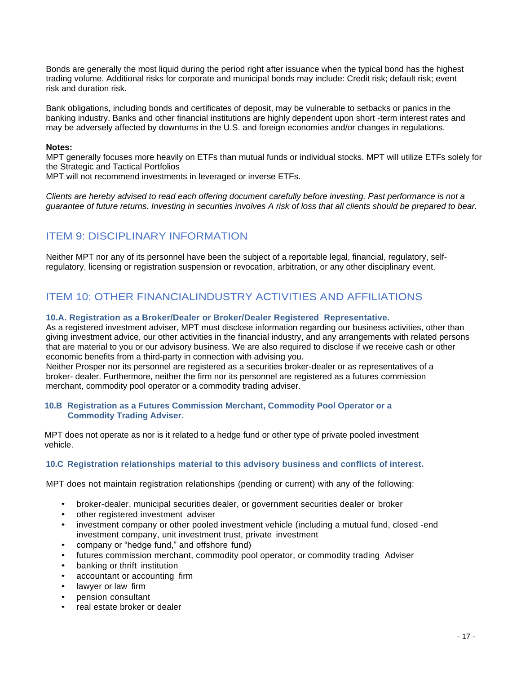Bonds are generally the most liquid during the period right after issuance when the typical bond has the highest trading volume. Additional risks for corporate and municipal bonds may include: Credit risk; default risk; event risk and duration risk.

Bank obligations, including bonds and certificates of deposit, may be vulnerable to setbacks or panics in the banking industry. Banks and other financial institutions are highly dependent upon short -term interest rates and may be adversely affected by downturns in the U.S. and foreign economies and/or changes in regulations.

### **Notes:**

MPT generally focuses more heavily on ETFs than mutual funds or individual stocks. MPT will utilize ETFs solely for the Strategic and Tactical Portfolios

MPT will not recommend investments in leveraged or inverse ETFs.

*Clients are hereby advised to read each offering document carefully before investing. Past performance is not a guarantee of future returns. Investing in securities involves A risk of loss that all clients should be prepared to bear.*

# ITEM 9: DISCIPLINARY INFORMATION

Neither MPT nor any of its personnel have been the subject of a reportable legal, financial, regulatory, selfregulatory, licensing or registration suspension or revocation, arbitration, or any other disciplinary event.

# ITEM 10: OTHER FINANCIALINDUSTRY ACTIVITIES AND AFFILIATIONS

### **10.A. Registration as a Broker/Dealer or Broker/Dealer Registered Representative.**

As a registered investment adviser, MPT must disclose information regarding our business activities, other than giving investment advice, our other activities in the financial industry, and any arrangements with related persons that are material to you or our advisory business. We are also required to disclose if we receive cash or other economic benefits from a third-party in connection with advising you.

Neither Prosper nor its personnel are registered as a securities broker-dealer or as representatives of a broker- dealer. Furthermore, neither the firm nor its personnel are registered as a futures commission merchant, commodity pool operator or a commodity trading adviser.

### **10.B Registration as a Futures Commission Merchant, Commodity Pool Operator or a Commodity Trading Adviser.**

MPT does not operate as nor is it related to a hedge fund or other type of private pooled investment vehicle.

### **10.C Registration relationships material to this advisory business and conflicts of interest.**

MPT does not maintain registration relationships (pending or current) with any of the following:

- broker-dealer, municipal securities dealer, or government securities dealer or broker
- other registered investment adviser
- investment company or other pooled investment vehicle (including a mutual fund, closed -end investment company, unit investment trust, private investment
- company or "hedge fund," and offshore fund)
- futures commission merchant, commodity pool operator, or commodity trading Adviser
- banking or thrift institution
- accountant or accounting firm
- lawyer or law firm
- pension consultant
- real estate broker or dealer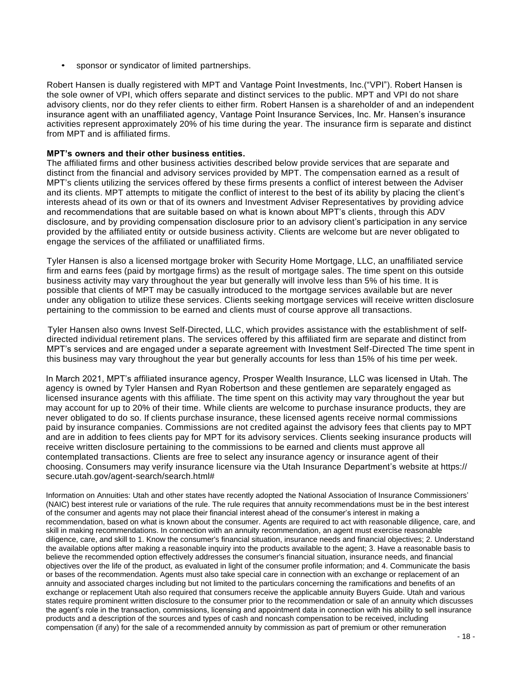sponsor or syndicator of limited partnerships.

Robert Hansen is dually registered with MPT and Vantage Point Investments, Inc.("VPI"). Robert Hansen is the sole owner of VPI, which offers separate and distinct services to the public. MPT and VPI do not share advisory clients, nor do they refer clients to either firm. Robert Hansen is a shareholder of and an independent insurance agent with an unaffiliated agency, Vantage Point Insurance Services, Inc. Mr. Hansen's insurance activities represent approximately 20% of his time during the year. The insurance firm is separate and distinct from MPT and is affiliated firms.

### **MPT's owners and their other business entities.**

The affiliated firms and other business activities described below provide services that are separate and distinct from the financial and advisory services provided by MPT. The compensation earned as a result of MPT's clients utilizing the services offered by these firms presents a conflict of interest between the Adviser and its clients. MPT attempts to mitigate the conflict of interest to the best of its ability by placing the client's interests ahead of its own or that of its owners and Investment Adviser Representatives by providing advice and recommendations that are suitable based on what is known about MPT's clients, through this ADV disclosure, and by providing compensation disclosure prior to an advisory client's participation in any service provided by the affiliated entity or outside business activity. Clients are welcome but are never obligated to engage the services of the affiliated or unaffiliated firms.

Tyler Hansen is also a licensed mortgage broker with Security Home Mortgage, LLC, an unaffiliated service firm and earns fees (paid by mortgage firms) as the result of mortgage sales. The time spent on this outside business activity may vary throughout the year but generally will involve less than 5% of his time. It is possible that clients of MPT may be casually introduced to the mortgage services available but are never under any obligation to utilize these services. Clients seeking mortgage services will receive written disclosure pertaining to the commission to be earned and clients must of course approve all transactions.

Tyler Hansen also owns Invest Self-Directed, LLC, which provides assistance with the establishment of selfdirected individual retirement plans. The services offered by this affiliated firm are separate and distinct from MPT's services and are engaged under a separate agreement with Investment Self-Directed The time spent in this business may vary throughout the year but generally accounts for less than 15% of his time per week.

In March 2021, MPT's affiliated insurance agency, Prosper Wealth Insurance, LLC was licensed in Utah. The agency is owned by Tyler Hansen and Ryan Robertson and these gentlemen are separately engaged as licensed insurance agents with this affiliate. The time spent on this activity may vary throughout the year but may account for up to 20% of their time. While clients are welcome to purchase insurance products, they are never obligated to do so. If clients purchase insurance, these licensed agents receive normal commissions paid by insurance companies. Commissions are not credited against the advisory fees that clients pay to MPT and are in addition to fees clients pay for MPT for its advisory services. Clients seeking insurance products will receive written disclosure pertaining to the commissions to be earned and clients must approve all contemplated transactions. Clients are free to select any insurance agency or insurance agent of their choosing. Consumers may verify insurance licensure via the Utah Insurance Department's website at https:// secure.utah.gov/agent-search/search.html#

Information on Annuities: Utah and other states have recently adopted the National Association of Insurance Commissioners' (NAIC) best interest rule or variations of the rule. The rule requires that annuity recommendations must be in the best interest of the consumer and agents may not place their financial interest ahead of the consumer's interest in making a recommendation, based on what is known about the consumer. Agents are required to act with reasonable diligence, care, and skill in making recommendations. In connection with an annuity recommendation, an agent must exercise reasonable diligence, care, and skill to 1. Know the consumer's financial situation, insurance needs and financial objectives; 2. Understand the available options after making a reasonable inquiry into the products available to the agent; 3. Have a reasonable basis to believe the recommended option effectively addresses the consumer's financial situation, insurance needs, and financial objectives over the life of the product, as evaluated in light of the consumer profile information; and 4. Communicate the basis or bases of the recommendation. Agents must also take special care in connection with an exchange or replacement of an annuity and associated charges including but not limited to the particulars concerning the ramifications and benefits of an exchange or replacement Utah also required that consumers receive the applicable annuity Buyers Guide. Utah and various states require prominent written disclosure to the consumer prior to the recommendation or sale of an annuity which discusses the agent's role in the transaction, commissions, licensing and appointment data in connection with his ability to sell insurance products and a description of the sources and types of cash and noncash compensation to be received, including compensation (if any) for the sale of a recommended annuity by commission as part of premium or other remuneration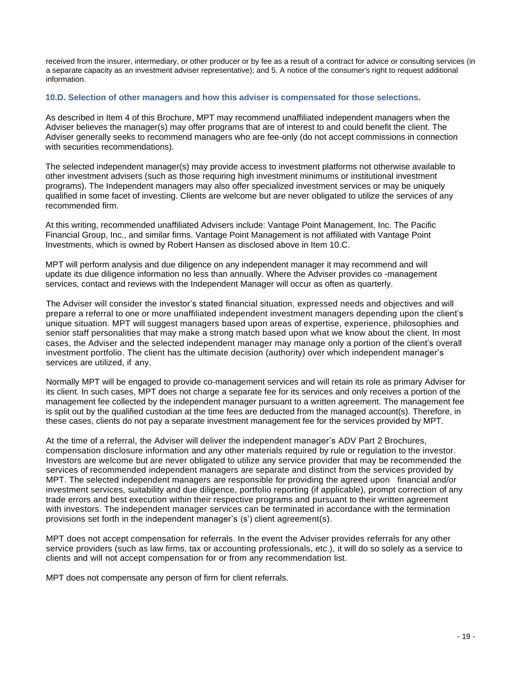received from the insurer, intermediary, or other producer or by fee as a result of a contract for advice or consulting services (in a separate capacity as an investment adviser representative); and 5. A notice of the consumer's right to request additional information.

### **10.D. Selection of other managers and how this adviser is compensated for those selections.**

As described in Item 4 of this Brochure, MPT may recommend unaffiliated independent managers when the Adviser believes the manager(s) may offer programs that are of interest to and could benefit the client. The Adviser generally seeks to recommend managers who are fee-only (do not accept commissions in connection with securities recommendations).

The selected independent manager(s) may provide access to investment platforms not otherwise available to other investment advisers (such as those requiring high investment minimums or institutional investment programs). The Independent managers may also offer specialized investment services or may be uniquely qualified in some facet of investing. Clients are welcome but are never obligated to utilize the services of any recommended firm.

At this writing, recommended unaffiliated Advisers include: Vantage Point Management, Inc. The Pacific Financial Group, Inc., and similar firms. Vantage Point Management is not affiliated with Vantage Point Investments, which is owned by Robert Hansen as disclosed above in Item 10.C.

MPT will perform analysis and due diligence on any independent manager it may recommend and will update its due diligence information no less than annually. Where the Adviser provides co -management services, contact and reviews with the Independent Manager will occur as often as quarterly.

The Adviser will consider the investor's stated financial situation, expressed needs and objectives and will prepare a referral to one or more unaffiliated independent investment managers depending upon the client's unique situation. MPT will suggest managers based upon areas of expertise, experience, philosophies and senior staff personalities that may make a strong match based upon what we know about the client. In most cases, the Adviser and the selected independent manager may manage only a portion of the client's overall investment portfolio. The client has the ultimate decision (authority) over which independent manager's services are utilized, if any.

Normally MPT will be engaged to provide co-management services and will retain its role as primary Adviser for its client. In such cases, MPT does not charge a separate fee for its services and only receives a portion of the management fee collected by the independent manager pursuant to a written agreement. The management fee is split out by the qualified custodian at the time fees are deducted from the managed account(s). Therefore, in these cases, clients do not pay a separate investment management fee for the services provided by MPT.

At the time of a referral, the Adviser will deliver the independent manager's ADV Part 2 Brochures, compensation disclosure information and any other materials required by rule or regulation to the investor. Investors are welcome but are never obligated to utilize any service provider that may be recommended the services of recommended independent managers are separate and distinct from the services provided by MPT. The selected independent managers are responsible for providing the agreed upon financial and/or investment services, suitability and due diligence, portfolio reporting (if applicable), prompt correction of any trade errors and best execution within their respective programs and pursuant to their written agreement with investors. The independent manager services can be terminated in accordance with the termination provisions set forth in the independent manager's (s') client agreement(s).

MPT does not accept compensation for referrals. In the event the Adviser provides referrals for any other service providers (such as law firms, tax or accounting professionals, etc.), it will do so solely as a service to clients and will not accept compensation for or from any recommendation list.

MPT does not compensate any person of firm for client referrals.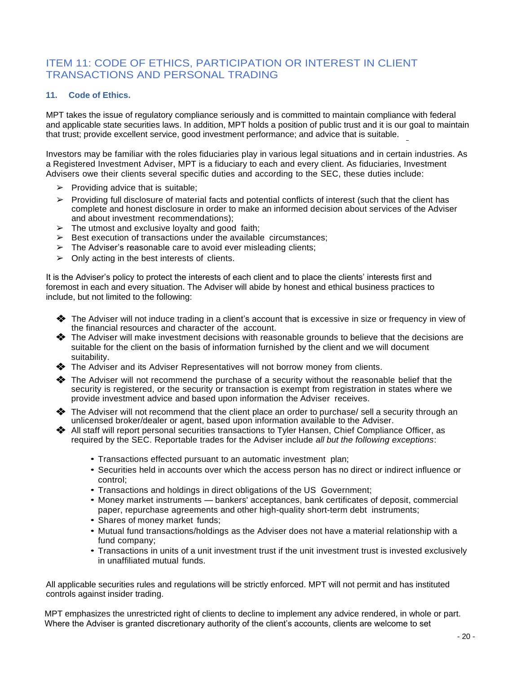# ITEM 11: CODE OF ETHICS, PARTICIPATION OR INTEREST IN CLIENT TRANSACTIONS AND PERSONAL TRADING

### **11. Code of Ethics.**

MPT takes the issue of regulatory compliance seriously and is committed to maintain compliance with federal and applicable state securities laws. In addition, MPT holds a position of public trust and it is our goal to maintain that trust; provide excellent service, good investment performance; and advice that is suitable.

Investors may be familiar with the roles fiduciaries play in various legal situations and in certain industries. As a Registered Investment Adviser, MPT is a fiduciary to each and every client. As fiduciaries, Investment Advisers owe their clients several specific duties and according to the SEC, these duties include:

- $\triangleright$  Providing advice that is suitable;
- $\triangleright$  Providing full disclosure of material facts and potential conflicts of interest (such that the client has complete and honest disclosure in order to make an informed decision about services of the Adviser and about investment recommendations);
- $\triangleright$  The utmost and exclusive loyalty and good faith;
- $\triangleright$  Best execution of transactions under the available circumstances;
- $\triangleright$  The Adviser's reasonable care to avoid ever misleading clients;
- $\geq$  Only acting in the best interests of clients.

It is the Adviser's policy to protect the interests of each client and to place the clients' interests first and foremost in each and every situation. The Adviser will abide by honest and ethical business practices to include, but not limited to the following:

- ❖ The Adviser will not induce trading in a client's account that is excessive in size or frequency in view of the financial resources and character of the account.
- ❖ The Adviser will make investment decisions with reasonable grounds to believe that the decisions are suitable for the client on the basis of information furnished by the client and we will document suitability.
- ❖ The Adviser and its Adviser Representatives will not borrow money from clients.
- ❖ The Adviser will not recommend the purchase of a security without the reasonable belief that the security is registered, or the security or transaction is exempt from registration in states where we provide investment advice and based upon information the Adviser receives.
- ❖ The Adviser will not recommend that the client place an order to purchase/ sell a security through an unlicensed broker/dealer or agent, based upon information available to the Adviser.
- ❖ All staff will report personal securities transactions to Tyler Hansen, Chief Compliance Officer, as required by the SEC. Reportable trades for the Adviser include *all but the following exceptions*:
	- Transactions effected pursuant to an automatic investment plan;
	- Securities held in accounts over which the access person has no direct or indirect influence or control;
	- Transactions and holdings in direct obligations of the US Government;
	- Money market instruments bankers' acceptances, bank certificates of deposit, commercial paper, repurchase agreements and other high-quality short-term debt instruments;
	- Shares of money market funds;
	- Mutual fund transactions/holdings as the Adviser does not have a material relationship with a fund company;
	- Transactions in units of a unit investment trust if the unit investment trust is invested exclusively in unaffiliated mutual funds.

All applicable securities rules and regulations will be strictly enforced. MPT will not permit and has instituted controls against insider trading.

MPT emphasizes the unrestricted right of clients to decline to implement any advice rendered, in whole or part. Where the Adviser is granted discretionary authority of the client's accounts, clients are welcome to set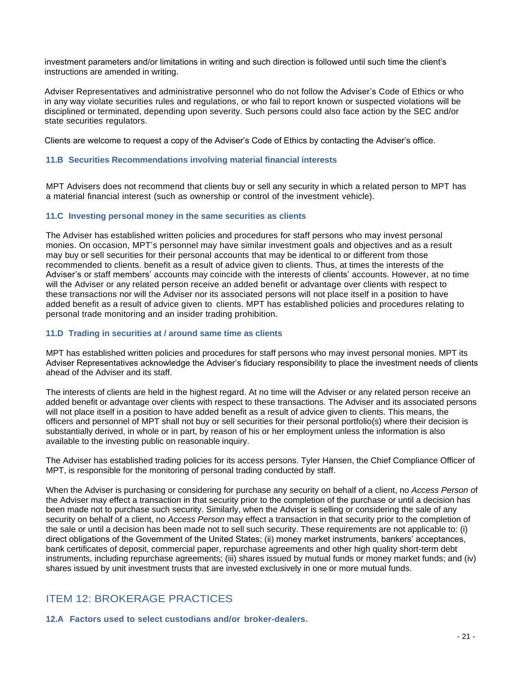investment parameters and/or limitations in writing and such direction is followed until such time the client's instructions are amended in writing.

Adviser Representatives and administrative personnel who do not follow the Adviser's Code of Ethics or who in any way violate securities rules and regulations, or who fail to report known or suspected violations will be disciplined or terminated, depending upon severity. Such persons could also face action by the SEC and/or state securities regulators.

Clients are welcome to request a copy of the Adviser's Code of Ethics by contacting the Adviser's office.

### **11.B Securities Recommendations involving material financial interests**

MPT Advisers does not recommend that clients buy or sell any security in which a related person to MPT has a material financial interest (such as ownership or control of the investment vehicle).

### **11.C Investing personal money in the same securities as clients**

The Adviser has established written policies and procedures for staff persons who may invest personal monies. On occasion, MPT's personnel may have similar investment goals and objectives and as a result may buy or sell securities for their personal accounts that may be identical to or different from those recommended to clients. benefit as a result of advice given to clients. Thus, at times the interests of the Adviser's or staff members' accounts may coincide with the interests of clients' accounts. However, at no time will the Adviser or any related person receive an added benefit or advantage over clients with respect to these transactions nor will the Adviser nor its associated persons will not place itself in a position to have added benefit as a result of advice given to clients. MPT has established policies and procedures relating to personal trade monitoring and an insider trading prohibition.

### **11.D Trading in securities at / around same time as clients**

MPT has established written policies and procedures for staff persons who may invest personal monies. MPT its Adviser Representatives acknowledge the Adviser's fiduciary responsibility to place the investment needs of clients ahead of the Adviser and its staff.

The interests of clients are held in the highest regard. At no time will the Adviser or any related person receive an added benefit or advantage over clients with respect to these transactions. The Adviser and its associated persons will not place itself in a position to have added benefit as a result of advice given to clients. This means, the officers and personnel of MPT shall not buy or sell securities for their personal portfolio(s) where their decision is substantially derived, in whole or in part, by reason of his or her employment unless the information is also available to the investing public on reasonable inquiry.

The Adviser has established trading policies for its access persons. Tyler Hansen, the Chief Compliance Officer of MPT, is responsible for the monitoring of personal trading conducted by staff.

When the Adviser is purchasing or considering for purchase any security on behalf of a client, no *Access Person o*f the Adviser may effect a transaction in that security prior to the completion of the purchase or until a decision has been made not to purchase such security. Similarly, when the Adviser is selling or considering the sale of any security on behalf of a client, no *Access Person* may effect a transaction in that security prior to the completion of the sale or until a decision has been made not to sell such security. These requirements are not applicable to: (i) direct obligations of the Government of the United States; (ii) money market instruments, bankers' acceptances, bank certificates of deposit, commercial paper, repurchase agreements and other high quality short-term debt instruments, including repurchase agreements; (iii) shares issued by mutual funds or money market funds; and (iv) shares issued by unit investment trusts that are invested exclusively in one or more mutual funds.

# ITEM 12: BROKERAGE PRACTICES

**12.A Factors used to select custodians and/or broker-dealers.**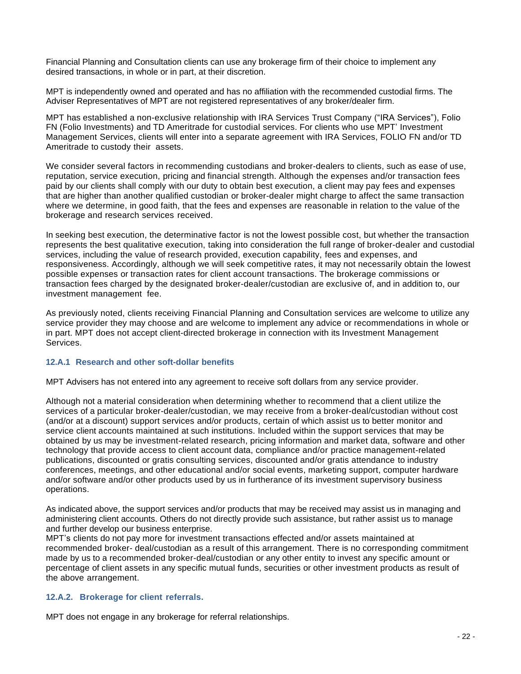Financial Planning and Consultation clients can use any brokerage firm of their choice to implement any desired transactions, in whole or in part, at their discretion.

MPT is independently owned and operated and has no affiliation with the recommended custodial firms. The Adviser Representatives of MPT are not registered representatives of any broker/dealer firm.

MPT has established a non-exclusive relationship with IRA Services Trust Company ("IRA Services"), Folio FN (Folio Investments) and TD Ameritrade for custodial services. For clients who use MPT' Investment Management Services, clients will enter into a separate agreement with IRA Services, FOLIO FN and/or TD Ameritrade to custody their assets.

We consider several factors in recommending custodians and broker-dealers to clients, such as ease of use, reputation, service execution, pricing and financial strength. Although the expenses and/or transaction fees paid by our clients shall comply with our duty to obtain best execution, a client may pay fees and expenses that are higher than another qualified custodian or broker-dealer might charge to affect the same transaction where we determine, in good faith, that the fees and expenses are reasonable in relation to the value of the brokerage and research services received.

In seeking best execution, the determinative factor is not the lowest possible cost, but whether the transaction represents the best qualitative execution, taking into consideration the full range of broker-dealer and custodial services, including the value of research provided, execution capability, fees and expenses, and responsiveness. Accordingly, although we will seek competitive rates, it may not necessarily obtain the lowest possible expenses or transaction rates for client account transactions. The brokerage commissions or transaction fees charged by the designated broker-dealer/custodian are exclusive of, and in addition to, our investment management fee.

As previously noted, clients receiving Financial Planning and Consultation services are welcome to utilize any service provider they may choose and are welcome to implement any advice or recommendations in whole or in part. MPT does not accept client-directed brokerage in connection with its Investment Management **Services** 

### **12.A.1 Research and other soft-dollar benefits**

MPT Advisers has not entered into any agreement to receive soft dollars from any service provider.

Although not a material consideration when determining whether to recommend that a client utilize the services of a particular broker-dealer/custodian, we may receive from a broker-deal/custodian without cost (and/or at a discount) support services and/or products, certain of which assist us to better monitor and service client accounts maintained at such institutions. Included within the support services that may be obtained by us may be investment-related research, pricing information and market data, software and other technology that provide access to client account data, compliance and/or practice management-related publications, discounted or gratis consulting services, discounted and/or gratis attendance to industry conferences, meetings, and other educational and/or social events, marketing support, computer hardware and/or software and/or other products used by us in furtherance of its investment supervisory business operations.

As indicated above, the support services and/or products that may be received may assist us in managing and administering client accounts. Others do not directly provide such assistance, but rather assist us to manage and further develop our business enterprise.

MPT's clients do not pay more for investment transactions effected and/or assets maintained at recommended broker- deal/custodian as a result of this arrangement. There is no corresponding commitment made by us to a recommended broker-deal/custodian or any other entity to invest any specific amount or percentage of client assets in any specific mutual funds, securities or other investment products as result of the above arrangement.

### **12.A.2. Brokerage for client referrals.**

MPT does not engage in any brokerage for referral relationships.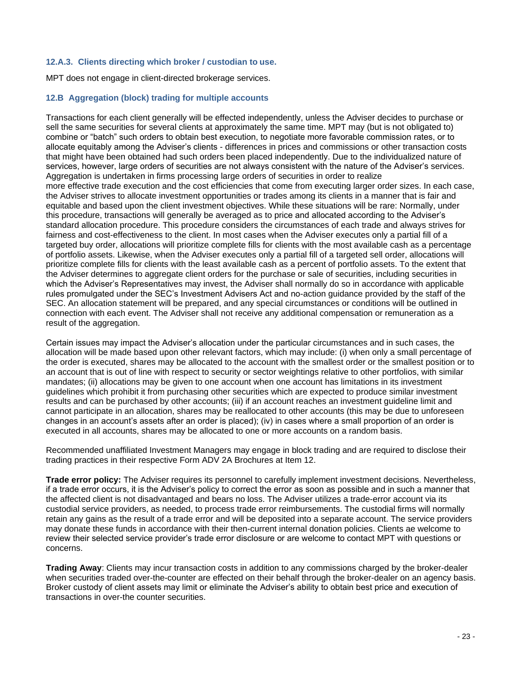### **12.A.3. Clients directing which broker / custodian to use.**

MPT does not engage in client-directed brokerage services.

### **12.B Aggregation (block) trading for multiple accounts**

Transactions for each client generally will be effected independently, unless the Adviser decides to purchase or sell the same securities for several clients at approximately the same time. MPT may (but is not obligated to) combine or "batch" such orders to obtain best execution, to negotiate more favorable commission rates, or to allocate equitably among the Adviser's clients - differences in prices and commissions or other transaction costs that might have been obtained had such orders been placed independently. Due to the individualized nature of services, however, large orders of securities are not always consistent with the nature of the Adviser's services. Aggregation is undertaken in firms processing large orders of securities in order to realize more effective trade execution and the cost efficiencies that come from executing larger order sizes. In each case, the Adviser strives to allocate investment opportunities or trades among its clients in a manner that is fair and equitable and based upon the client investment objectives. While these situations will be rare: Normally, under this procedure, transactions will generally be averaged as to price and allocated according to the Adviser's standard allocation procedure. This procedure considers the circumstances of each trade and always strives for fairness and cost-effectiveness to the client. In most cases when the Adviser executes only a partial fill of a targeted buy order, allocations will prioritize complete fills for clients with the most available cash as a percentage of portfolio assets. Likewise, when the Adviser executes only a partial fill of a targeted sell order, allocations will prioritize complete fills for clients with the least available cash as a percent of portfolio assets. To the extent that the Adviser determines to aggregate client orders for the purchase or sale of securities, including securities in which the Adviser's Representatives may invest, the Adviser shall normally do so in accordance with applicable rules promulgated under the SEC's Investment Advisers Act and no-action guidance provided by the staff of the SEC. An allocation statement will be prepared, and any special circumstances or conditions will be outlined in connection with each event. The Adviser shall not receive any additional compensation or remuneration as a result of the aggregation.

Certain issues may impact the Adviser's allocation under the particular circumstances and in such cases, the allocation will be made based upon other relevant factors, which may include: (i) when only a small percentage of the order is executed, shares may be allocated to the account with the smallest order or the smallest position or to an account that is out of line with respect to security or sector weightings relative to other portfolios, with similar mandates; (ii) allocations may be given to one account when one account has limitations in its investment guidelines which prohibit it from purchasing other securities which are expected to produce similar investment results and can be purchased by other accounts; (iii) if an account reaches an investment guideline limit and cannot participate in an allocation, shares may be reallocated to other accounts (this may be due to unforeseen changes in an account's assets after an order is placed); (iv) in cases where a small proportion of an order is executed in all accounts, shares may be allocated to one or more accounts on a random basis.

Recommended unaffiliated Investment Managers may engage in block trading and are required to disclose their trading practices in their respective Form ADV 2A Brochures at Item 12.

**Trade error policy:** The Adviser requires its personnel to carefully implement investment decisions. Nevertheless, if a trade error occurs, it is the Adviser's policy to correct the error as soon as possible and in such a manner that the affected client is not disadvantaged and bears no loss. The Adviser utilizes a trade-error account via its custodial service providers, as needed, to process trade error reimbursements. The custodial firms will normally retain any gains as the result of a trade error and will be deposited into a separate account. The service providers may donate these funds in accordance with their then-current internal donation policies. Clients ae welcome to review their selected service provider's trade error disclosure or are welcome to contact MPT with questions or concerns.

**Trading Away**: Clients may incur transaction costs in addition to any commissions charged by the broker-dealer when securities traded over-the-counter are effected on their behalf through the broker-dealer on an agency basis. Broker custody of client assets may limit or eliminate the Adviser's ability to obtain best price and execution of transactions in over-the counter securities.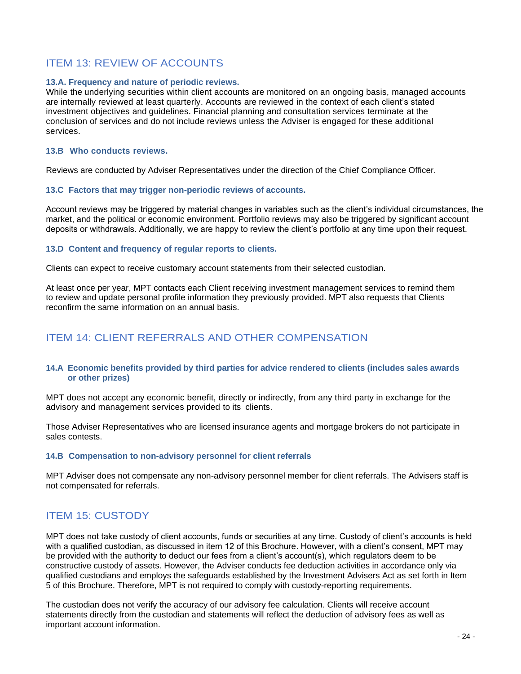# ITEM 13: REVIEW OF ACCOUNTS

### **13.A. Frequency and nature of periodic reviews.**

While the underlying securities within client accounts are monitored on an ongoing basis, managed accounts are internally reviewed at least quarterly. Accounts are reviewed in the context of each client's stated investment objectives and guidelines. Financial planning and consultation services terminate at the conclusion of services and do not include reviews unless the Adviser is engaged for these additional services.

### **13.B Who conducts reviews.**

Reviews are conducted by Adviser Representatives under the direction of the Chief Compliance Officer.

### **13.C Factors that may trigger non-periodic reviews of accounts.**

Account reviews may be triggered by material changes in variables such as the client's individual circumstances, the market, and the political or economic environment. Portfolio reviews may also be triggered by significant account deposits or withdrawals. Additionally, we are happy to review the client's portfolio at any time upon their request.

### **13.D Content and frequency of regular reports to clients.**

Clients can expect to receive customary account statements from their selected custodian.

At least once per year, MPT contacts each Client receiving investment management services to remind them to review and update personal profile information they previously provided. MPT also requests that Clients reconfirm the same information on an annual basis.

# ITEM 14: CLIENT REFERRALS AND OTHER COMPENSATION

### **14.A Economic benefits provided by third parties for advice rendered to clients (includes sales awards or other prizes)**

MPT does not accept any economic benefit, directly or indirectly, from any third party in exchange for the advisory and management services provided to its clients.

Those Adviser Representatives who are licensed insurance agents and mortgage brokers do not participate in sales contests.

### **14.B Compensation to non-advisory personnel for client referrals**

MPT Adviser does not compensate any non-advisory personnel member for client referrals. The Advisers staff is not compensated for referrals.

# **ITEM 15: CUSTODY**

MPT does not take custody of client accounts, funds or securities at any time. Custody of client's accounts is held with a qualified custodian, as discussed in item 12 of this Brochure. However, with a client's consent, MPT may be provided with the authority to deduct our fees from a client's account(s), which regulators deem to be constructive custody of assets. However, the Adviser conducts fee deduction activities in accordance only via qualified custodians and employs the safeguards established by the Investment Advisers Act as set forth in Item 5 of this Brochure. Therefore, MPT is not required to comply with custody-reporting requirements.

The custodian does not verify the accuracy of our advisory fee calculation. Clients will receive account statements directly from the custodian and statements will reflect the deduction of advisory fees as well as important account information.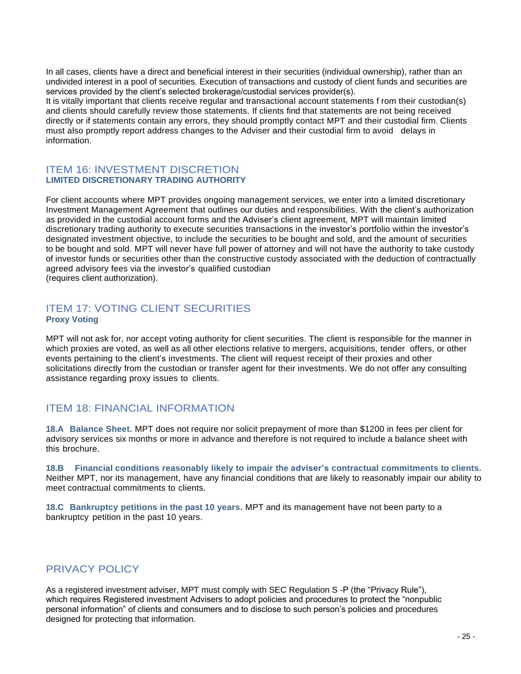In all cases, clients have a direct and beneficial interest in their securities (individual ownership), rather than an undivided interest in a pool of securities. Execution of transactions and custody of client funds and securities are services provided by the client's selected brokerage/custodial services provider(s).

It is vitally important that clients receive regular and transactional account statements f rom their custodian(s) and clients should carefully review those statements. If clients find that statements are not being received directly or if statements contain any errors, they should promptly contact MPT and their custodial firm. Clients must also promptly report address changes to the Adviser and their custodial firm to avoid delays in information.

### ITEM 16: INVESTMENT DISCRETION **LIMITED DISCRETIONARY TRADING AUTHORITY**

For client accounts where MPT provides ongoing management services, we enter into a limited discretionary Investment Management Agreement that outlines our duties and responsibilities. With the client's authorization as provided in the custodial account forms and the Adviser's client agreement, MPT will maintain limited discretionary trading authority to execute securities transactions in the investor's portfolio within the investor's designated investment objective, to include the securities to be bought and sold, and the amount of securities to be bought and sold. MPT will never have full power of attorney and will not have the authority to take custody of investor funds or securities other than the constructive custody associated with the deduction of contractually agreed advisory fees via the investor's qualified custodian (requires client authorization).

## ITEM 17: VOTING CLIENT SECURITIES **Proxy Voting**

MPT will not ask for, nor accept voting authority for client securities. The client is responsible for the manner in which proxies are voted, as well as all other elections relative to mergers, acquisitions, tender offers, or other events pertaining to the client's investments. The client will request receipt of their proxies and other solicitations directly from the custodian or transfer agent for their investments. We do not offer any consulting assistance regarding proxy issues to clients.

# ITEM 18: FINANCIAL INFORMATION

**18.A Balance Sheet.** MPT does not require nor solicit prepayment of more than \$1200 in fees per client for advisory services six months or more in advance and therefore is not required to include a balance sheet with this brochure.

**18.B Financial conditions reasonably likely to impair the adviser's contractual commitments to clients.**  Neither MPT, nor its management, have any financial conditions that are likely to reasonably impair our ability to meet contractual commitments to clients.

**18.C Bankruptcy petitions in the past 10 years.** MPT and its management have not been party to a bankruptcy petition in the past 10 years.

# PRIVACY POLICY

As a registered investment adviser, MPT must comply with SEC Regulation S -P (the "Privacy Rule"), which requires Registered investment Advisers to adopt policies and procedures to protect the "nonpublic personal information" of clients and consumers and to disclose to such person's policies and procedures designed for protecting that information.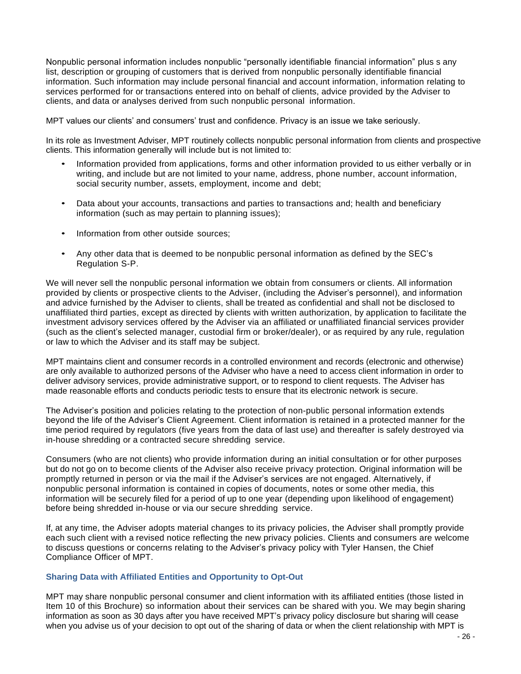Nonpublic personal information includes nonpublic "personally identifiable financial information" plus s any list, description or grouping of customers that is derived from nonpublic personally identifiable financial information. Such information may include personal financial and account information, information relating to services performed for or transactions entered into on behalf of clients, advice provided by the Adviser to clients, and data or analyses derived from such nonpublic personal information.

MPT values our clients' and consumers' trust and confidence. Privacy is an issue we take seriously.

In its role as Investment Adviser, MPT routinely collects nonpublic personal information from clients and prospective clients. This information generally will include but is not limited to:

- Information provided from applications, forms and other information provided to us either verbally or in writing, and include but are not limited to your name, address, phone number, account information, social security number, assets, employment, income and debt;
- Data about your accounts, transactions and parties to transactions and; health and beneficiary information (such as may pertain to planning issues);
- Information from other outside sources;
- Any other data that is deemed to be nonpublic personal information as defined by the SEC's Regulation S-P.

We will never sell the nonpublic personal information we obtain from consumers or clients. All information provided by clients or prospective clients to the Adviser, (including the Adviser's personnel), and information and advice furnished by the Adviser to clients, shall be treated as confidential and shall not be disclosed to unaffiliated third parties, except as directed by clients with written authorization, by application to facilitate the investment advisory services offered by the Adviser via an affiliated or unaffiliated financial services provider (such as the client's selected manager, custodial firm or broker/dealer), or as required by any rule, regulation or law to which the Adviser and its staff may be subject.

MPT maintains client and consumer records in a controlled environment and records (electronic and otherwise) are only available to authorized persons of the Adviser who have a need to access client information in order to deliver advisory services, provide administrative support, or to respond to client requests. The Adviser has made reasonable efforts and conducts periodic tests to ensure that its electronic network is secure.

The Adviser's position and policies relating to the protection of non-public personal information extends beyond the life of the Adviser's Client Agreement. Client information is retained in a protected manner for the time period required by regulators (five years from the data of last use) and thereafter is safely destroyed via in-house shredding or a contracted secure shredding service.

Consumers (who are not clients) who provide information during an initial consultation or for other purposes but do not go on to become clients of the Adviser also receive privacy protection. Original information will be promptly returned in person or via the mail if the Adviser's services are not engaged. Alternatively, if nonpublic personal information is contained in copies of documents, notes or some other media, this information will be securely filed for a period of up to one year (depending upon likelihood of engagement) before being shredded in-house or via our secure shredding service.

If, at any time, the Adviser adopts material changes to its privacy policies, the Adviser shall promptly provide each such client with a revised notice reflecting the new privacy policies. Clients and consumers are welcome to discuss questions or concerns relating to the Adviser's privacy policy with Tyler Hansen, the Chief Compliance Officer of MPT.

#### **Sharing Data with Affiliated Entities and Opportunity to Opt-Out**

MPT may share nonpublic personal consumer and client information with its affiliated entities (those listed in Item 10 of this Brochure) so information about their services can be shared with you. We may begin sharing information as soon as 30 days after you have received MPT's privacy policy disclosure but sharing will cease when you advise us of your decision to opt out of the sharing of data or when the client relationship with MPT is